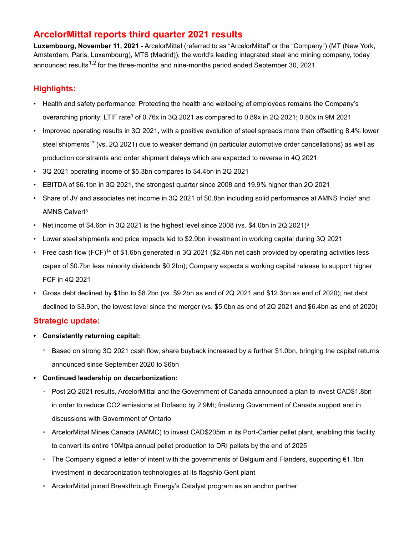# **ArcelorMittal reports third quarter 2021 results**

**Luxembourg, November 11, 2021** - ArcelorMittal (referred to as "ArcelorMittal" or the "Company") (MT (New York, Amsterdam, Paris, Luxembourg), MTS (Madrid)), the world's leading integrated steel and mining company, today announced results<sup>1,2</sup> for the three-months and nine-months period ended September 30, 2021.

# **Highlights:**

- Health and safety performance: Protecting the health and wellbeing of employees remains the Company's overarching priority; LTIF rate<sup>3</sup> of 0.76x in 3Q 2021 as compared to 0.89x in 2Q 2021; 0.80x in 9M 2021
- Improved operating results in 3Q 2021, with a positive evolution of steel spreads more than offsetting 8.4% lower steel shipments<sup>17</sup> (vs. 2Q 2021) due to weaker demand (in particular automotive order cancellations) as well as production constraints and order shipment delays which are expected to reverse in 4Q 2021
- 3Q 2021 operating income of \$5.3bn compares to \$4.4bn in 2Q 2021
- EBITDA of \$6.1bn in 3Q 2021, the strongest quarter since 2008 and 19.9% higher than 2Q 2021
- Share of JV and associates net income in 3Q 2021 of \$0.8bn including solid performance at AMNS India<sup>4</sup> and AMNS Calvert<sup>5</sup>
- Net income of \$4.6bn in 3Q 2021 is the highest level since 2008 (vs. \$4.0bn in 2Q 2021)<sup>6</sup>
- Lower steel shipments and price impacts led to \$2.9bn investment in working capital during 3Q 2021
- Free cash flow (FCF)<sup>14</sup> of \$1.6bn generated in 3Q 2021 (\$2.4bn net cash provided by operating activities less capex of \$0.7bn less minority dividends \$0.2bn); Company expects a working capital release to support higher FCF in 4Q 2021
- Gross debt declined by \$1bn to \$8.2bn (vs. \$9.2bn as end of 2Q 2021 and \$12.3bn as end of 2020); net debt declined to \$3.9bn, the lowest level since the merger (vs. \$5.0bn as end of 2Q 2021 and \$6.4bn as end of 2020)

## **Strategic update:**

- **• Consistently returning capital:** 
	- Based on strong 3Q 2021 cash flow, share buyback increased by a further \$1.0bn, bringing the capital returns announced since September 2020 to \$6bn
- **• Continued leadership on decarbonization:** 
	- Post 2Q 2021 results, ArcelorMittal and the Government of Canada announced a plan to invest CAD\$1.8bn in order to reduce CO2 emissions at Dofasco by 2.9Mt; finalizing Government of Canada support and in discussions with Government of Ontario
	- ArcelorMittal Mines Canada (AMMC) to invest CAD\$205m in its Port-Cartier pellet plant, enabling this facility to convert its entire 10Mtpa annual pellet production to DRI pellets by the end of 2025
	- The Company signed a letter of intent with the governments of Belgium and Flanders, supporting €1.1bn investment in decarbonization technologies at its flagship Gent plant
	- ArcelorMittal joined Breakthrough Energy's Catalyst program as an anchor partner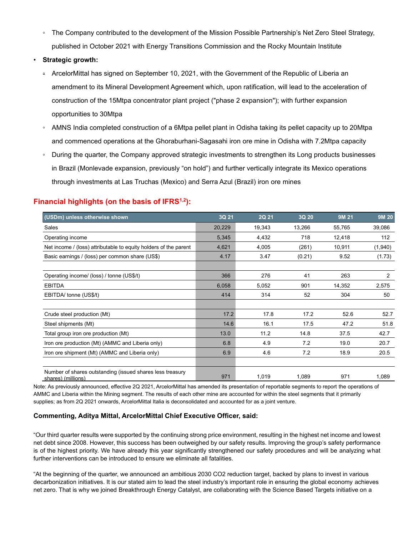- The Company contributed to the development of the Mission Possible Partnership's Net Zero Steel Strategy, published in October 2021 with Energy Transitions Commission and the Rocky Mountain Institute
- **Strategic growth:** 
	- ArcelorMittal has signed on September 10, 2021, with the Government of the Republic of Liberia an amendment to its Mineral Development Agreement which, upon ratification, will lead to the acceleration of construction of the 15Mtpa concentrator plant project ("phase 2 expansion"); with further expansion opportunities to 30Mtpa
	- AMNS India completed construction of a 6Mtpa pellet plant in Odisha taking its pellet capacity up to 20Mtpa and commenced operations at the Ghoraburhani-Sagasahi iron ore mine in Odisha with 7.2Mtpa capacity
	- During the quarter, the Company approved strategic investments to strengthen its Long products businesses in Brazil (Monlevade expansion, previously "on hold") and further vertically integrate its Mexico operations through investments at Las Truchas (Mexico) and Serra Azul (Brazil) iron ore mines

| (USDm) unless otherwise shown                                                   | 3Q 21  | 2Q 21  | 3Q 20  | <b>9M 21</b> | <b>9M 20</b> |
|---------------------------------------------------------------------------------|--------|--------|--------|--------------|--------------|
| <b>Sales</b>                                                                    | 20,229 | 19,343 | 13,266 | 55,765       | 39,086       |
| Operating income                                                                | 5,345  | 4,432  | 718    | 12,418       | 112          |
| Net income / (loss) attributable to equity holders of the parent                | 4,621  | 4,005  | (261)  | 10,911       | (1,940)      |
| Basic earnings / (loss) per common share (US\$)                                 | 4.17   | 3.47   | (0.21) | 9.52         | (1.73)       |
|                                                                                 |        |        |        |              |              |
| Operating income/ (loss) / tonne (US\$/t)                                       | 366    | 276    | 41     | 263          | 2            |
| <b>EBITDA</b>                                                                   | 6,058  | 5,052  | 901    | 14,352       | 2,575        |
| EBITDA/ tonne (US\$/t)                                                          | 414    | 314    | 52     | 304          | 50           |
|                                                                                 |        |        |        |              |              |
| Crude steel production (Mt)                                                     | 17.2   | 17.8   | 17.2   | 52.6         | 52.7         |
| Steel shipments (Mt)                                                            | 14.6   | 16.1   | 17.5   | 47.2         | 51.8         |
| Total group iron ore production (Mt)                                            | 13.0   | 11.2   | 14.8   | 37.5         | 42.7         |
| Iron ore production (Mt) (AMMC and Liberia only)                                | 6.8    | 4.9    | 7.2    | 19.0         | 20.7         |
| Iron ore shipment (Mt) (AMMC and Liberia only)                                  | 6.9    | 4.6    | 7.2    | 18.9         | 20.5         |
|                                                                                 |        |        |        |              |              |
| Number of shares outstanding (issued shares less treasury<br>shares) (millions) | 971    | 1,019  | 1,089  | 971          | 1,089        |

## **Financial highlights (on the basis of IFRS1,2):**

Note: As previously announced, effective 2Q 2021, ArcelorMittal has amended its presentation of reportable segments to report the operations of AMMC and Liberia within the Mining segment. The results of each other mine are accounted for within the steel segments that it primarily supplies; as from 2Q 2021 onwards, ArcelorMittal Italia is deconsolidated and accounted for as a joint venture.

### **Commenting, Aditya Mittal, ArcelorMittal Chief Executive Officer, said:**

"Our third quarter results were supported by the continuing strong price environment, resulting in the highest net income and lowest net debt since 2008. However, this success has been outweighed by our safety results. Improving the group's safety performance is of the highest priority. We have already this year significantly strengthened our safety procedures and will be analyzing what further interventions can be introduced to ensure we eliminate all fatalities.

"At the beginning of the quarter, we announced an ambitious 2030 CO2 reduction target, backed by plans to invest in various decarbonization initiatives. It is our stated aim to lead the steel industry's important role in ensuring the global economy achieves net zero. That is why we joined Breakthrough Energy Catalyst, are collaborating with the Science Based Targets initiative on a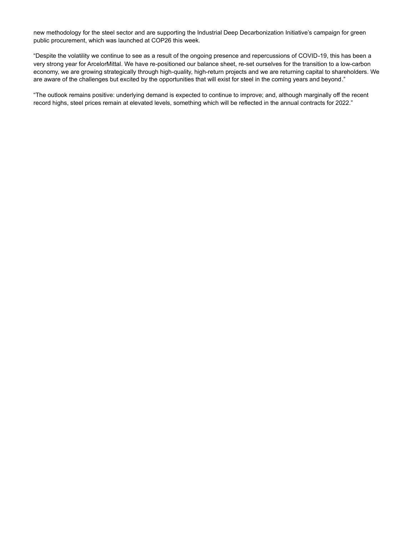new methodology for the steel sector and are supporting the Industrial Deep Decarbonization Initiative's campaign for green public procurement, which was launched at COP26 this week.

"Despite the volatility we continue to see as a result of the ongoing presence and repercussions of COVID-19, this has been a very strong year for ArcelorMittal. We have re-positioned our balance sheet, re-set ourselves for the transition to a low-carbon economy, we are growing strategically through high-quality, high-return projects and we are returning capital to shareholders. We are aware of the challenges but excited by the opportunities that will exist for steel in the coming years and beyond."

"The outlook remains positive: underlying demand is expected to continue to improve; and, although marginally off the recent record highs, steel prices remain at elevated levels, something which will be reflected in the annual contracts for 2022."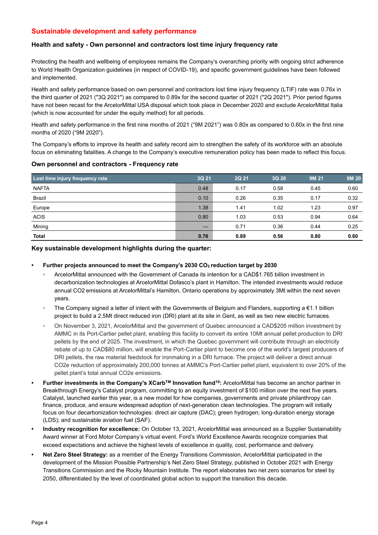## **Sustainable development and safety performance**

#### **Health and safety - Own personnel and contractors lost time injury frequency rate**

Protecting the health and wellbeing of employees remains the Company's overarching priority with ongoing strict adherence to World Health Organization guidelines (in respect of COVID-19), and specific government guidelines have been followed and implemented.

Health and safety performance based on own personnel and contractors lost time injury frequency (LTIF) rate was 0.76x in the third quarter of 2021 ("3Q 2021") as compared to 0.89x for the second quarter of 2021 ("2Q 2021"). Prior period figures have not been recast for the ArcelorMittal USA disposal which took place in December 2020 and exclude ArcelorMittal Italia (which is now accounted for under the equity method) for all periods.

Health and safety performance in the first nine months of 2021 ("9M 2021") was 0.80x as compared to 0.60x in the first nine months of 2020 ("9M 2020").

The Company's efforts to improve its health and safety record aim to strengthen the safety of its workforce with an absolute focus on eliminating fatalities. A change to the Company's executive remuneration policy has been made to reflect this focus.

#### **Own personnel and contractors - Frequency rate**

| Lost time injury frequency rate | 3Q 21 | 2Q 21 | 3Q 20 | 9M 21 | <b>9M 20</b> |
|---------------------------------|-------|-------|-------|-------|--------------|
| <b>NAFTA</b>                    | 0.48  | 0.17  | 0.58  | 0.45  | 0.60         |
| Brazil                          | 0.10  | 0.26  | 0.35  | 0.17  | 0.32         |
| Europe                          | 1.38  | 1.41  | 1.02  | 1.23  | 0.97         |
| <b>ACIS</b>                     | 0.80  | 1.03  | 0.53  | 0.94  | 0.64         |
| Mining                          | $-$   | 0.71  | 0.36  | 0.44  | 0.25         |
| <b>Total</b>                    | 0.76  | 0.89  | 0.56  | 0.80  | 0.60         |

**Key sustainable development highlights during the quarter:** 

#### **• Further projects announced to meet the Company's 2030 CO2 reduction target by 2030**

- **◦** ArcelorMittal announced with the Government of Canada its intention for a CAD\$1.765 billion investment in decarbonization technologies at ArcelorMittal Dofasco's plant in Hamilton. The intended investments would reduce annual CO2 emissions at ArcelorMittal's Hamilton, Ontario operations by approximately 3Mt within the next seven years.
- **◦** The Company signed a letter of intent with the Governments of Belgium and Flanders, supporting a €1.1 billion project to build a 2.5Mt direct reduced iron (DRI) plant at its site in Gent, as well as two new electric furnaces.
- **◦** On November 3, 2021, ArcelorMittal and the government of Quebec announced a CAD\$205 million investment by AMMC in its Port-Cartier pellet plant, enabling this facility to convert its entire 10Mt annual pellet production to DRI pellets by the end of 2025. The investment, in which the Quebec government will contribute through an electricity rebate of up to CAD\$80 million, will enable the Port-Cartier plant to become one of the world's largest producers of DRI pellets, the raw material feedstock for ironmaking in a DRI furnace. The project will deliver a direct annual CO2e reduction of approximately 200,000 tonnes at AMMC's Port-Cartier pellet plant, equivalent to over 20% of the pellet plant's total annual CO2e emissions.
- **• Further investments in the Company's XCarbTM Innovation fund<sup>10</sup>:** ArcelorMittal has become an anchor partner in Breakthrough Energy's Catalyst program, committing to an equity investment of \$100 million over the next five years. Catalyst, launched earlier this year, is a new model for how companies, governments and private philanthropy can finance, produce, and ensure widespread adoption of next-generation clean technologies. The program will initially focus on four decarbonization technologies: direct air capture (DAC); green hydrogen; long-duration energy storage (LDS); and sustainable aviation fuel (SAF).
- **• Industry recognition for excellence:** On October 13, 2021, ArcelorMittal was announced as a Supplier Sustainability Award winner at Ford Motor Company's virtual event. Ford's World Excellence Awards recognize companies that exceed expectations and achieve the highest levels of excellence in quality, cost, performance and delivery.
- **• Net Zero Steel Strategy:** as a member of the Energy Transitions Commission, ArcelorMittal participated in the development of the Mission Possible Partnership's Net Zero Steel Strategy, published in October 2021 with Energy Transitions Commission and the Rocky Mountain Institute. The report elaborates two net zero scenarios for steel by 2050, differentiated by the level of coordinated global action to support the transition this decade.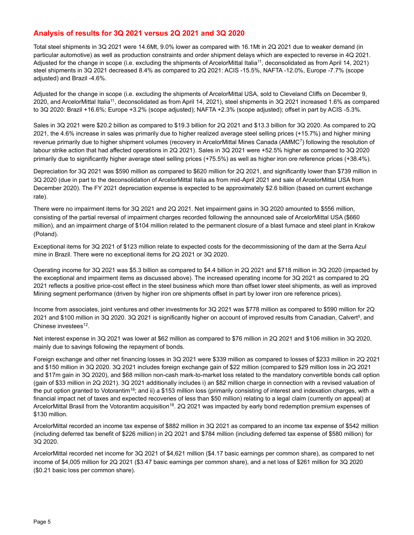## **Analysis of results for 3Q 2021 versus 2Q 2021 and 3Q 2020**

Total steel shipments in 3Q 2021 were 14.6Mt, 9.0% lower as compared with 16.1Mt in 2Q 2021 due to weaker demand (in particular automotive) as well as production constraints and order shipment delays which are expected to reverse in 4Q 2021. Adjusted for the change in scope (i.e. excluding the shipments of ArcelorMittal Italia<sup>11</sup>, deconsolidated as from April 14, 2021) steel shipments in 3Q 2021 decreased 8.4% as compared to 2Q 2021: ACIS -15.5%, NAFTA -12.0%, Europe -7.7% (scope adjusted) and Brazil -4.6%.

Adjusted for the change in scope (i.e. excluding the shipments of ArcelorMittal USA, sold to Cleveland Cliffs on December 9, 2020, and ArcelorMittal Italia<sup>11</sup>, deconsolidated as from April 14, 2021), steel shipments in 3Q 2021 increased 1.6% as compared to 3Q 2020: Brazil +16.6%; Europe +3.2% (scope adjusted); NAFTA +2.3% (scope adjusted); offset in part by ACIS -5.3%.

Sales in 3Q 2021 were \$20.2 billion as compared to \$19.3 billion for 2Q 2021 and \$13.3 billion for 3Q 2020. As compared to 2Q 2021, the 4.6% increase in sales was primarily due to higher realized average steel selling prices (+15.7%) and higher mining revenue primarily due to higher shipment volumes (recovery in ArcelorMittal Mines Canada (AMMC<sup>7</sup>) following the resolution of labour strike action that had affected operations in 2Q 2021). Sales in 3Q 2021 were +52.5% higher as compared to 3Q 2020 primarily due to significantly higher average steel selling prices (+75.5%) as well as higher iron ore reference prices (+38.4%).

Depreciation for 3Q 2021 was \$590 million as compared to \$620 million for 2Q 2021, and significantly lower than \$739 million in 3Q 2020 (due in part to the deconsolidation of ArcelorMittal Italia as from mid-April 2021 and sale of ArcelorMittal USA from December 2020). The FY 2021 depreciation expense is expected to be approximately \$2.6 billion (based on current exchange rate).

There were no impairment items for 3Q 2021 and 2Q 2021. Net impairment gains in 3Q 2020 amounted to \$556 million, consisting of the partial reversal of impairment charges recorded following the announced sale of ArcelorMittal USA (\$660 million), and an impairment charge of \$104 million related to the permanent closure of a blast furnace and steel plant in Krakow (Poland).

Exceptional items for 3Q 2021 of \$123 million relate to expected costs for the decommissioning of the dam at the Serra Azul mine in Brazil. There were no exceptional items for 2Q 2021 or 3Q 2020.

Operating income for 3Q 2021 was \$5.3 billion as compared to \$4.4 billion in 2Q 2021 and \$718 million in 3Q 2020 (impacted by the exceptional and impairment items as discussed above). The increased operating income for 3Q 2021 as compared to 2Q 2021 reflects a positive price-cost effect in the steel business which more than offset lower steel shipments, as well as improved Mining segment performance (driven by higher iron ore shipments offset in part by lower iron ore reference prices).

Income from associates, joint ventures and other investments for 3Q 2021 was \$778 million as compared to \$590 million for 2Q 2021 and \$100 million in 3Q 2020. 3Q 2021 is significantly higher on account of improved results from Canadian, Calvert<sup>5</sup>, and Chinese investees<sup>12</sup>.

Net interest expense in 3Q 2021 was lower at \$62 million as compared to \$76 million in 2Q 2021 and \$106 million in 3Q 2020, mainly due to savings following the repayment of bonds.

Foreign exchange and other net financing losses in 3Q 2021 were \$339 million as compared to losses of \$233 million in 2Q 2021 and \$150 million in 3Q 2020. 3Q 2021 includes foreign exchange gain of \$22 million (compared to \$29 million loss in 2Q 2021 and \$17m gain in 3Q 2020), and \$68 million non-cash mark-to-market loss related to the mandatory convertible bonds call option (gain of \$33 million in 2Q 2021). 3Q 2021 additionally includes i) an \$82 million charge in connection with a revised valuation of the put option granted to Votorantim<sup>18</sup>; and ii) a \$153 million loss (primarily consisting of interest and indexation charges, with a financial impact net of taxes and expected recoveries of less than \$50 million) relating to a legal claim (currently on appeal) at ArcelorMittal Brasil from the Votorantim acquisition<sup>18</sup>. 2Q 2021 was impacted by early bond redemption premium expenses of \$130 million.

ArcelorMittal recorded an income tax expense of \$882 million in 3Q 2021 as compared to an income tax expense of \$542 million (including deferred tax benefit of \$226 million) in 2Q 2021 and \$784 million (including deferred tax expense of \$580 million) for 3Q 2020.

ArcelorMittal recorded net income for 3Q 2021 of \$4,621 million (\$4.17 basic earnings per common share), as compared to net income of \$4,005 million for 2Q 2021 (\$3.47 basic earnings per common share), and a net loss of \$261 million for 3Q 2020 (\$0.21 basic loss per common share).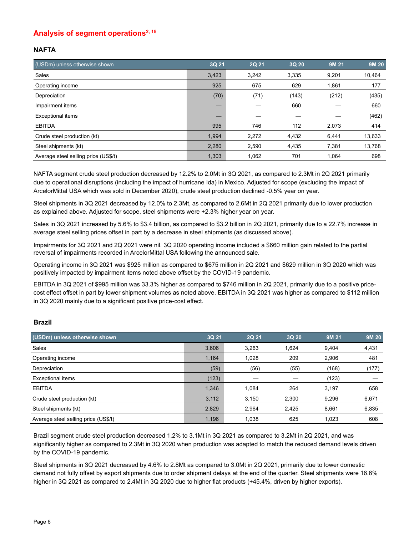## **Analysis of segment operations2, 15**

## **NAFTA**

| (USDm) unless otherwise shown        | 3Q 21 | <b>2Q 21</b> | 3Q 20 | 9M 21 | <b>9M 20</b> |
|--------------------------------------|-------|--------------|-------|-------|--------------|
| Sales                                | 3,423 | 3,242        | 3,335 | 9,201 | 10,464       |
| Operating income                     | 925   | 675          | 629   | 1,861 | 177          |
| Depreciation                         | (70)  | (71)         | (143) | (212) | (435)        |
| Impairment items                     |       |              | 660   |       | 660          |
| <b>Exceptional items</b>             |       |              |       |       | (462)        |
| <b>EBITDA</b>                        | 995   | 746          | 112   | 2,073 | 414          |
| Crude steel production (kt)          | 1,994 | 2,272        | 4,432 | 6,441 | 13,633       |
| Steel shipments (kt)                 | 2,280 | 2,590        | 4,435 | 7,381 | 13,768       |
| Average steel selling price (US\$/t) | 1,303 | 1.062        | 701   | 1.064 | 698          |

NAFTA segment crude steel production decreased by 12.2% to 2.0Mt in 3Q 2021, as compared to 2.3Mt in 2Q 2021 primarily due to operational disruptions (including the impact of hurricane Ida) in Mexico. Adjusted for scope (excluding the impact of ArcelorMittal USA which was sold in December 2020), crude steel production declined -0.5% year on year.

Steel shipments in 3Q 2021 decreased by 12.0% to 2.3Mt, as compared to 2.6Mt in 2Q 2021 primarily due to lower production as explained above. Adjusted for scope, steel shipments were +2.3% higher year on year.

Sales in 3Q 2021 increased by 5.6% to \$3.4 billion, as compared to \$3.2 billion in 2Q 2021, primarily due to a 22.7% increase in average steel selling prices offset in part by a decrease in steel shipments (as discussed above).

Impairments for 3Q 2021 and 2Q 2021 were nil. 3Q 2020 operating income included a \$660 million gain related to the partial reversal of impairments recorded in ArcelorMittal USA following the announced sale.

Operating income in 3Q 2021 was \$925 million as compared to \$675 million in 2Q 2021 and \$629 million in 3Q 2020 which was positively impacted by impairment items noted above offset by the COVID-19 pandemic.

EBITDA in 3Q 2021 of \$995 million was 33.3% higher as compared to \$746 million in 2Q 2021, primarily due to a positive pricecost effect offset in part by lower shipment volumes as noted above. EBITDA in 3Q 2021 was higher as compared to \$112 million in 3Q 2020 mainly due to a significant positive price-cost effect.

### **Brazil**

| (USDm) unless otherwise shown        | 3Q 21 | 2Q 21 | 3Q 20 | 9M 21 | <b>9M 20</b> |
|--------------------------------------|-------|-------|-------|-------|--------------|
| Sales                                | 3,606 | 3,263 | 1,624 | 9.404 | 4,431        |
| Operating income                     | 1.164 | 1.028 | 209   | 2.906 | 481          |
| Depreciation                         | (59)  | (56)  | (55)  | (168) | (177)        |
| Exceptional items                    | (123) |       |       | (123) |              |
| <b>EBITDA</b>                        | 1,346 | 1.084 | 264   | 3,197 | 658          |
| Crude steel production (kt)          | 3,112 | 3,150 | 2,300 | 9,296 | 6,671        |
| Steel shipments (kt)                 | 2,829 | 2.964 | 2,425 | 8,661 | 6,835        |
| Average steel selling price (US\$/t) | 1,196 | 1.038 | 625   | 1.023 | 608          |

Brazil segment crude steel production decreased 1.2% to 3.1Mt in 3Q 2021 as compared to 3.2Mt in 2Q 2021, and was significantly higher as compared to 2.3Mt in 3Q 2020 when production was adapted to match the reduced demand levels driven by the COVID-19 pandemic.

Steel shipments in 3Q 2021 decreased by 4.6% to 2.8Mt as compared to 3.0Mt in 2Q 2021, primarily due to lower domestic demand not fully offset by export shipments due to order shipment delays at the end of the quarter. Steel shipments were 16.6% higher in 3Q 2021 as compared to 2.4Mt in 3Q 2020 due to higher flat products (+45.4%, driven by higher exports).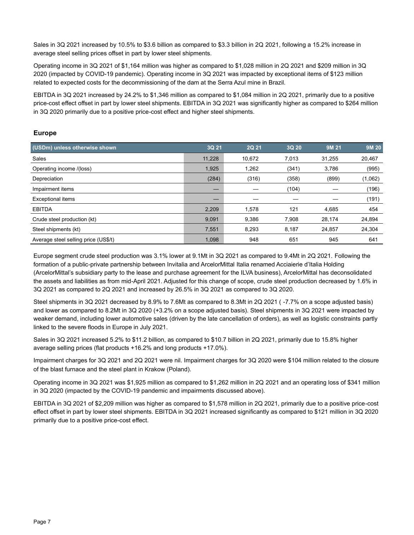Sales in 3Q 2021 increased by 10.5% to \$3.6 billion as compared to \$3.3 billion in 2Q 2021, following a 15.2% increase in average steel selling prices offset in part by lower steel shipments.

Operating income in 3Q 2021 of \$1,164 million was higher as compared to \$1,028 million in 2Q 2021 and \$209 million in 3Q 2020 (impacted by COVID-19 pandemic). Operating income in 3Q 2021 was impacted by exceptional items of \$123 million related to expected costs for the decommissioning of the dam at the Serra Azul mine in Brazil.

EBITDA in 3Q 2021 increased by 24.2% to \$1,346 million as compared to \$1,084 million in 2Q 2021, primarily due to a positive price-cost effect offset in part by lower steel shipments. EBITDA in 3Q 2021 was significantly higher as compared to \$264 million in 3Q 2020 primarily due to a positive price-cost effect and higher steel shipments.

### **Europe**

| (USDm) unless otherwise shown        | 3Q 21  | 2Q 21  | 3Q 20 | 9M 21  | <b>9M 20</b> |
|--------------------------------------|--------|--------|-------|--------|--------------|
| Sales                                | 11,228 | 10.672 | 7,013 | 31.255 | 20,467       |
| Operating income /(loss)             | 1,925  | 1,262  | (341) | 3,786  | (995)        |
| Depreciation                         | (284)  | (316)  | (358) | (899)  | (1,062)      |
| Impairment items                     |        |        | (104) |        | (196)        |
| <b>Exceptional items</b>             |        |        |       |        | (191)        |
| <b>EBITDA</b>                        | 2,209  | 1,578  | 121   | 4,685  | 454          |
| Crude steel production (kt)          | 9,091  | 9,386  | 7.908 | 28,174 | 24,894       |
| Steel shipments (kt)                 | 7,551  | 8.293  | 8,187 | 24,857 | 24,304       |
| Average steel selling price (US\$/t) | 1,098  | 948    | 651   | 945    | 641          |

Europe segment crude steel production was 3.1% lower at 9.1Mt in 3Q 2021 as compared to 9.4Mt in 2Q 2021. Following the formation of a public-private partnership between Invitalia and ArcelorMittal Italia renamed Acciaierie d'Italia Holding (ArcelorMittal's subsidiary party to the lease and purchase agreement for the ILVA business), ArcelorMittal has deconsolidated the assets and liabilities as from mid-April 2021. Adjusted for this change of scope, crude steel production decreased by 1.6% in 3Q 2021 as compared to 2Q 2021 and increased by 26.5% in 3Q 2021 as compared to 3Q 2020.

Steel shipments in 3Q 2021 decreased by 8.9% to 7.6Mt as compared to 8.3Mt in 2Q 2021 ( -7.7% on a scope adjusted basis) and lower as compared to 8.2Mt in 3Q 2020 (+3.2% on a scope adjusted basis). Steel shipments in 3Q 2021 were impacted by weaker demand, including lower automotive sales (driven by the late cancellation of orders), as well as logistic constraints partly linked to the severe floods in Europe in July 2021.

Sales in 3Q 2021 increased 5.2% to \$11.2 billion, as compared to \$10.7 billion in 2Q 2021, primarily due to 15.8% higher average selling prices (flat products +16.2% and long products +17.0%).

Impairment charges for 3Q 2021 and 2Q 2021 were nil. Impairment charges for 3Q 2020 were \$104 million related to the closure of the blast furnace and the steel plant in Krakow (Poland).

Operating income in 3Q 2021 was \$1,925 million as compared to \$1,262 million in 2Q 2021 and an operating loss of \$341 million in 3Q 2020 (impacted by the COVID-19 pandemic and impairments discussed above).

EBITDA in 3Q 2021 of \$2,209 million was higher as compared to \$1,578 million in 2Q 2021, primarily due to a positive price-cost effect offset in part by lower steel shipments. EBITDA in 3Q 2021 increased significantly as compared to \$121 million in 3Q 2020 primarily due to a positive price-cost effect.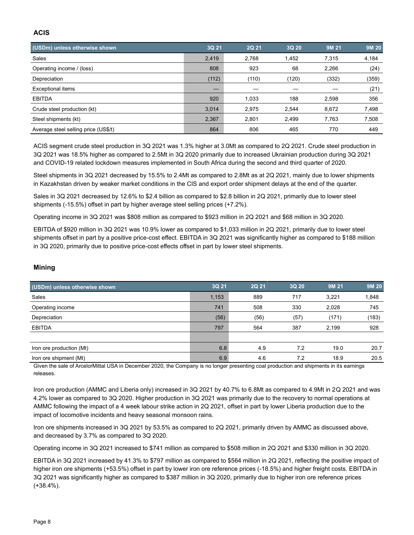### **ACIS**

| (USDm) unless otherwise shown        | 3Q 21 | 2Q 21 | 3Q 20 | 9M 21 | <b>9M 20</b> |
|--------------------------------------|-------|-------|-------|-------|--------------|
| Sales                                | 2,419 | 2,768 | 1,452 | 7,315 | 4,184        |
| Operating income / (loss)            | 808   | 923   | 68    | 2,266 | (24)         |
| Depreciation                         | (112) | (110) | (120) | (332) | (359)        |
| <b>Exceptional items</b>             |       |       |       |       | (21)         |
| <b>EBITDA</b>                        | 920   | 1,033 | 188   | 2,598 | 356          |
| Crude steel production (kt)          | 3,014 | 2,975 | 2,544 | 8,672 | 7,498        |
| Steel shipments (kt)                 | 2,367 | 2,801 | 2,499 | 7,763 | 7,508        |
| Average steel selling price (US\$/t) | 864   | 806   | 465   | 770   | 449          |

ACIS segment crude steel production in 3Q 2021 was 1.3% higher at 3.0Mt as compared to 2Q 2021. Crude steel production in 3Q 2021 was 18.5% higher as compared to 2.5Mt in 3Q 2020 primarily due to increased Ukrainian production during 3Q 2021 and COVID-19 related lockdown measures implemented in South Africa during the second and third quarter of 2020.

Steel shipments in 3Q 2021 decreased by 15.5% to 2.4Mt as compared to 2.8Mt as at 2Q 2021, mainly due to lower shipments in Kazakhstan driven by weaker market conditions in the CIS and export order shipment delays at the end of the quarter.

Sales in 3Q 2021 decreased by 12.6% to \$2.4 billion as compared to \$2.8 billion in 2Q 2021, primarily due to lower steel shipments (-15.5%) offset in part by higher average steel selling prices (+7.2%).

Operating income in 3Q 2021 was \$808 million as compared to \$923 million in 2Q 2021 and \$68 million in 3Q 2020.

EBITDA of \$920 million in 3Q 2021 was 10.9% lower as compared to \$1,033 million in 2Q 2021, primarily due to lower steel shipments offset in part by a positive price-cost effect. EBITDA in 3Q 2021 was significantly higher as compared to \$188 million in 3Q 2020, primarily due to positive price-cost effects offset in part by lower steel shipments.

### **Mining**

| (USDm) unless otherwise shown | 3Q 21 | 2Q 21 | 3Q 20 | 9M 21 | <b>9M 20</b> |
|-------------------------------|-------|-------|-------|-------|--------------|
| Sales                         | 1,153 | 889   | 717   | 3,221 | 1,848        |
| Operating income              | 741   | 508   | 330   | 2,028 | 745          |
| Depreciation                  | (56)  | (56)  | (57)  | (171) | (183)        |
| <b>EBITDA</b>                 | 797   | 564   | 387   | 2,199 | 928          |
|                               |       |       |       |       |              |
| Iron ore production (Mt)      | 6.8   | 4.9   | 7.2   | 19.0  | 20.7         |
| Iron ore shipment (Mt)        | 6.9   | 4.6   | 7.2   | 18.9  | 20.5         |

Given the sale of ArcelorMittal USA in December 2020, the Company is no longer presenting coal production and shipments in its earnings releases.

Iron ore production (AMMC and Liberia only) increased in 3Q 2021 by 40.7% to 6.8Mt as compared to 4.9Mt in 2Q 2021 and was 4.2% lower as compared to 3Q 2020. Higher production in 3Q 2021 was primarily due to the recovery to normal operations at AMMC following the impact of a 4 week labour strike action in 2Q 2021, offset in part by lower Liberia production due to the impact of locomotive incidents and heavy seasonal monsoon rains.

Iron ore shipments increased in 3Q 2021 by 53.5% as compared to 2Q 2021, primarily driven by AMMC as discussed above, and decreased by 3.7% as compared to 3Q 2020.

Operating income in 3Q 2021 increased to \$741 million as compared to \$508 million in 2Q 2021 and \$330 million in 3Q 2020.

EBITDA in 3Q 2021 increased by 41.3% to \$797 million as compared to \$564 million in 2Q 2021, reflecting the positive impact of higher iron ore shipments (+53.5%) offset in part by lower iron ore reference prices (-18.5%) and higher freight costs. EBITDA in 3Q 2021 was significantly higher as compared to \$387 million in 3Q 2020, primarily due to higher iron ore reference prices (+38.4%).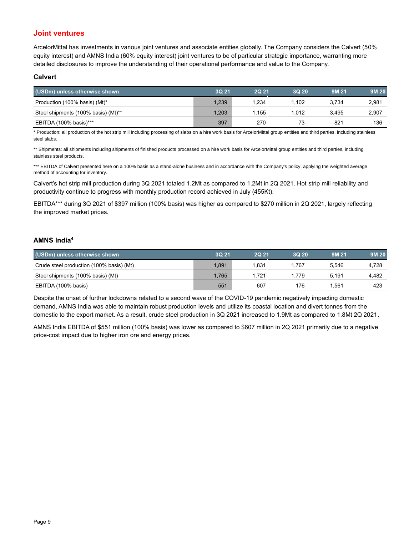### **Joint ventures**

ArcelorMittal has investments in various joint ventures and associate entities globally. The Company considers the Calvert (50% equity interest) and AMNS India (60% equity interest) joint ventures to be of particular strategic importance, warranting more detailed disclosures to improve the understanding of their operational performance and value to the Company.

#### **Calvert**

| (USDm) unless otherwise shown                   | 3Q 21 | <b>2Q 21</b> | 3Q <sub>20</sub> | <b>9M 21</b> | <b>9M 20</b> |
|-------------------------------------------------|-------|--------------|------------------|--------------|--------------|
| Production (100% basis) (Mt)*                   | 1.239 | Ⅰ.234        | l.102            | 3.734        | 2,981        |
| Steel shipments (100% basis) (Mt) <sup>**</sup> | 1.203 | r. 155       | 1.012            | 3.495        | 2,907        |
| EBITDA (100% basis)***                          | 397   | 270          |                  | 821          | 136          |

\* Production: all production of the hot strip mill including processing of slabs on a hire work basis for ArcelorMittal group entities and third parties, including stainless steel slabs.

\*\* Shipments: all shipments including shipments of finished products processed on a hire work basis for ArcelorMittal group entities and third parties, including stainless steel products.

\*\*\* EBITDA of Calvert presented here on a 100% basis as a stand-alone business and in accordance with the Company's policy, applying the weighted average method of accounting for inventory.

Calvert's hot strip mill production during 3Q 2021 totaled 1.2Mt as compared to 1.2Mt in 2Q 2021. Hot strip mill reliability and productivity continue to progress with monthly production record achieved in July (455Kt).

EBITDA\*\*\* during 3Q 2021 of \$397 million (100% basis) was higher as compared to \$270 million in 2Q 2021, largely reflecting the improved market prices.

#### **AMNS India<sup>4</sup>**

| (USDm) unless otherwise shown            | 3Q 21 | <b>2Q 21</b> | 3Q <sub>20</sub> | <b>9M 21</b> | <b>9M 20</b> |
|------------------------------------------|-------|--------------|------------------|--------------|--------------|
| Crude steel production (100% basis) (Mt) | .891  | 1.831        | .767             | 5.546        | 4.728        |
| Steel shipments (100% basis) (Mt)        | 1.765 | 1.721        | 1.779            | 5.191        | 4.482        |
| EBITDA (100% basis)                      | 551   | 607          | 176              | 1.561        | 423          |

Despite the onset of further lockdowns related to a second wave of the COVID-19 pandemic negatively impacting domestic demand, AMNS India was able to maintain robust production levels and utilize its coastal location and divert tonnes from the domestic to the export market. As a result, crude steel production in 3Q 2021 increased to 1.9Mt as compared to 1.8Mt 2Q 2021.

AMNS India EBITDA of \$551 million (100% basis) was lower as compared to \$607 million in 2Q 2021 primarily due to a negative price-cost impact due to higher iron ore and energy prices.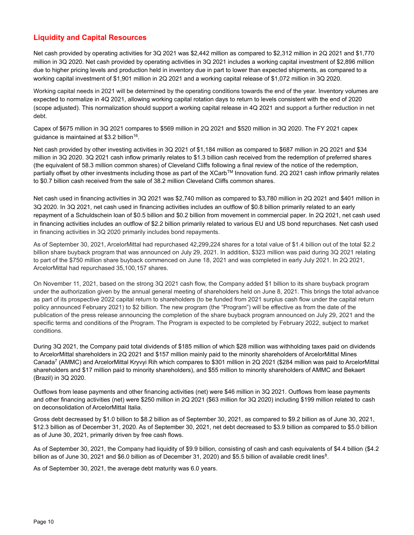## **Liquidity and Capital Resources**

Net cash provided by operating activities for 3Q 2021 was \$2,442 million as compared to \$2,312 million in 2Q 2021 and \$1,770 million in 3Q 2020. Net cash provided by operating activities in 3Q 2021 includes a working capital investment of \$2,896 million due to higher pricing levels and production held in inventory due in part to lower than expected shipments, as compared to a working capital investment of \$1,901 million in 2Q 2021 and a working capital release of \$1,072 million in 3Q 2020.

Working capital needs in 2021 will be determined by the operating conditions towards the end of the year. Inventory volumes are expected to normalize in 4Q 2021, allowing working capital rotation days to return to levels consistent with the end of 2020 (scope adjusted). This normalization should support a working capital release in 4Q 2021 and support a further reduction in net debt.

Capex of \$675 million in 3Q 2021 compares to \$569 million in 2Q 2021 and \$520 million in 3Q 2020. The FY 2021 capex guidance is maintained at \$3.2 billion $^{16}$ .

Net cash provided by other investing activities in 3Q 2021 of \$1,184 million as compared to \$687 million in 2Q 2021 and \$34 million in 3Q 2020. 3Q 2021 cash inflow primarily relates to \$1.3 billion cash received from the redemption of preferred shares (the equivalent of 58.3 million common shares) of Cleveland Cliffs following a final review of the notice of the redemption, partially offset by other investments including those as part of the XCarb<sup>™</sup> Innovation fund. 2Q 2021 cash inflow primarily relates to \$0.7 billion cash received from the sale of 38.2 million Cleveland Cliffs common shares.

Net cash used in financing activities in 3Q 2021 was \$2,740 million as compared to \$3,780 million in 2Q 2021 and \$401 million in 3Q 2020. In 3Q 2021, net cash used in financing activities includes an outflow of \$0.8 billion primarily related to an early repayment of a Schuldschein loan of \$0.5 billion and \$0.2 billion from movement in commercial paper. In 2Q 2021, net cash used in financing activities includes an outflow of \$2.2 billion primarily related to various EU and US bond repurchases. Net cash used in financing activities in 3Q 2020 primarily includes bond repayments.

As of September 30, 2021, ArcelorMittal had repurchased 42,299,224 shares for a total value of \$1.4 billion out of the total \$2.2 billion share buyback program that was announced on July 29, 2021. In addition, \$323 million was paid during 3Q 2021 relating to part of the \$750 million share buyback commenced on June 18, 2021 and was completed in early July 2021. In 2Q 2021, ArcelorMittal had repurchased 35,100,157 shares.

On November 11, 2021, based on the strong 3Q 2021 cash flow, the Company added \$1 billion to its share buyback program under the authorization given by the annual general meeting of shareholders held on June 8, 2021. This brings the total advance as part of its prospective 2022 capital return to shareholders (to be funded from 2021 surplus cash flow under the capital return policy announced February 2021) to \$2 billion. The new program (the "Program") will be effective as from the date of the publication of the press release announcing the completion of the share buyback program announced on July 29, 2021 and the specific terms and conditions of the Program. The Program is expected to be completed by February 2022, subject to market conditions.

During 3Q 2021, the Company paid total dividends of \$185 million of which \$28 million was withholding taxes paid on dividends to ArcelorMittal shareholders in 2Q 2021 and \$157 million mainly paid to the minority shareholders of ArcelorMittal Mines Canada<sup>7</sup> (AMMC) and ArcelorMittal Kryvyi Rih which compares to \$301 million in 2Q 2021 (\$284 million was paid to ArcelorMittal shareholders and \$17 million paid to minority shareholders), and \$55 million to minority shareholders of AMMC and Bekaert (Brazil) in 3Q 2020.

Outflows from lease payments and other financing activities (net) were \$46 million in 3Q 2021. Outflows from lease payments and other financing activities (net) were \$250 million in 2Q 2021 (\$63 million for 3Q 2020) including \$199 million related to cash on deconsolidation of ArcelorMittal Italia.

Gross debt decreased by \$1.0 billion to \$8.2 billion as of September 30, 2021, as compared to \$9.2 billion as of June 30, 2021, \$12.3 billion as of December 31, 2020. As of September 30, 2021, net debt decreased to \$3.9 billion as compared to \$5.0 billion as of June 30, 2021, primarily driven by free cash flows.

As of September 30, 2021, the Company had liquidity of \$9.9 billion, consisting of cash and cash equivalents of \$4.4 billion (\$4.2 billion as of June 30, 2021 and \$6.0 billion as of December 31, 2020) and \$5.5 billion of available credit lines $^8$ .

As of September 30, 2021, the average debt maturity was 6.0 years.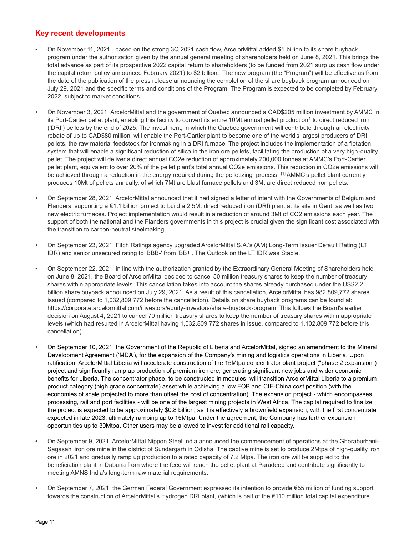## **Key recent developments**

- On November 11, 2021, based on the strong 3Q 2021 cash flow, ArcelorMittal added \$1 billion to its share buyback program under the authorization given by the annual general meeting of shareholders held on June 8, 2021. This brings the total advance as part of its prospective 2022 capital return to shareholders (to be funded from 2021 surplus cash flow under the capital return policy announced February 2021) to \$2 billion. The new program (the "Program") will be effective as from the date of the publication of the press release announcing the completion of the share buyback program announced on July 29, 2021 and the specific terms and conditions of the Program. The Program is expected to be completed by February 2022, subject to market conditions.
- On November 3, 2021, ArcelorMittal and the government of Quebec announced a CAD\$205 million investment by AMMC in its Port-Cartier pellet plant, enabling this facility to convert its entire 10Mt annual pellet production<sup>1</sup> to direct reduced iron ('DRI') pellets by the end of 2025. The investment, in which the Quebec government will contribute through an electricity rebate of up to CAD\$80 million, will enable the Port-Cartier plant to become one of the world's largest producers of DRI pellets, the raw material feedstock for ironmaking in a DRI furnace. The project includes the implementation of a flotation system that will enable a significant reduction of silica in the iron ore pellets, facilitating the production of a very high-quality pellet. The project will deliver a direct annual CO2e reduction of approximately 200,000 tonnes at AMMC's Port-Cartier pellet plant, equivalent to over 20% of the pellet plant's total annual CO2e emissions. This reduction in CO2e emissions will be achieved through a reduction in the energy required during the pelletizing process. [1] AMMC's pellet plant currently produces 10Mt of pellets annually, of which 7Mt are blast furnace pellets and 3Mt are direct reduced iron pellets.
- On September 28, 2021, ArcelorMittal announced that it had signed a letter of intent with the Governments of Belgium and Flanders, supporting a €1.1 billion project to build a 2.5Mt direct reduced iron (DRI) plant at its site in Gent, as well as two new electric furnaces. Project implementation would result in a reduction of around 3Mt of CO2 emissions each year. The support of both the national and the Flanders governments in this project is crucial given the significant cost associated with the transition to carbon-neutral steelmaking.
- On September 23, 2021, Fitch Ratings agency upgraded ArcelorMittal S.A.'s (AM) Long-Term Issuer Default Rating (LT IDR) and senior unsecured rating to 'BBB-' from 'BB+'. The Outlook on the LT IDR was Stable.
- On September 22, 2021, in line with the authorization granted by the Extraordinary General Meeting of Shareholders held on June 8, 2021, the Board of ArcelorMittal decided to cancel 50 million treasury shares to keep the number of treasury shares within appropriate levels. This cancellation takes into account the shares already purchased under the US\$2.2 billion share buyback announced on July 29, 2021. As a result of this cancellation, ArcelorMittal has 982,809,772 shares issued (compared to 1,032,809,772 before the cancellation). Details on share buyback programs can be found at: https://corporate.arcelormittal.com/investors/equity-investors/share-buyback-program. This follows the Board's earlier decision on August 4, 2021 to cancel 70 million treasury shares to keep the number of treasury shares within appropriate levels (which had resulted in ArcelorMittal having 1,032,809,772 shares in issue, compared to 1,102,809,772 before this cancellation).
- On September 10, 2021, the Government of the Republic of Liberia and ArcelorMittal, signed an amendment to the Mineral Development Agreement ('MDA'), for the expansion of the Company's mining and logistics operations in Liberia. Upon ratification, ArcelorMittal Liberia will accelerate construction of the 15Mtpa concentrator plant project ("phase 2 expansion") project and significantly ramp up production of premium iron ore, generating significant new jobs and wider economic benefits for Liberia. The concentrator phase, to be constructed in modules, will transition ArcelorMittal Liberia to a premium product category (high grade concentrate) asset while achieving a low FOB and CIF-China cost position (with the economies of scale projected to more than offset the cost of concentration). The expansion project - which encompasses processing, rail and port facilities - will be one of the largest mining projects in West Africa. The capital required to finalize the project is expected to be approximately \$0.8 billion, as it is effectively a brownfield expansion, with the first concentrate expected in late 2023, ultimately ramping up to 15Mtpa. Under the agreement, the Company has further expansion opportunities up to 30Mtpa. Other users may be allowed to invest for additional rail capacity.
- On September 9, 2021, ArcelorMittal Nippon Steel India announced the commencement of operations at the Ghoraburhani-Sagasahi iron ore mine in the district of Sundargarh in Odisha. The captive mine is set to produce 2Mtpa of high-quality iron ore in 2021 and gradually ramp up production to a rated capacity of 7.2 Mtpa. The iron ore will be supplied to the beneficiation plant in Dabuna from where the feed will reach the pellet plant at Paradeep and contribute significantly to meeting AMNS India's long-term raw material requirements.
- On September 7, 2021, the German Federal Government expressed its intention to provide €55 million of funding support towards the construction of ArcelorMittal's Hydrogen DRI plant, (which is half of the €110 million total capital expenditure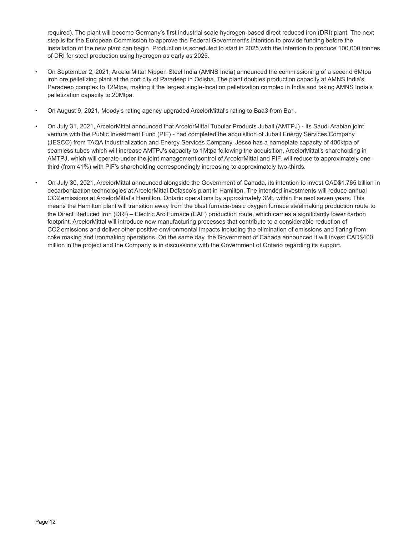required). The plant will become Germany's first industrial scale hydrogen-based direct reduced iron (DRI) plant. The next step is for the European Commission to approve the Federal Government's intention to provide funding before the installation of the new plant can begin. Production is scheduled to start in 2025 with the intention to produce 100,000 tonnes of DRI for steel production using hydrogen as early as 2025.

- On September 2, 2021, ArcelorMittal Nippon Steel India (AMNS India) announced the commissioning of a second 6Mtpa iron ore pelletizing plant at the port city of Paradeep in Odisha. The plant doubles production capacity at AMNS India's Paradeep complex to 12Mtpa, making it the largest single-location pelletization complex in India and taking AMNS India's pelletization capacity to 20Mtpa.
- On August 9, 2021, Moody's rating agency upgraded ArcelorMittal's rating to Baa3 from Ba1.
- On July 31, 2021, ArcelorMittal announced that ArcelorMittal Tubular Products Jubail (AMTPJ) its Saudi Arabian joint venture with the Public Investment Fund (PIF) - had completed the acquisition of Jubail Energy Services Company (JESCO) from TAQA Industrialization and Energy Services Company. Jesco has a nameplate capacity of 400ktpa of seamless tubes which will increase AMTPJ's capacity to 1Mtpa following the acquisition. ArcelorMittal's shareholding in AMTPJ, which will operate under the joint management control of ArcelorMittal and PIF, will reduce to approximately onethird (from 41%) with PIF's shareholding correspondingly increasing to approximately two-thirds.
- On July 30, 2021, ArcelorMittal announced alongside the Government of Canada, its intention to invest CAD\$1.765 billion in decarbonization technologies at ArcelorMittal Dofasco's plant in Hamilton. The intended investments will reduce annual CO2 emissions at ArcelorMittal's Hamilton, Ontario operations by approximately 3Mt, within the next seven years. This means the Hamilton plant will transition away from the blast furnace-basic oxygen furnace steelmaking production route to the Direct Reduced Iron (DRI) – Electric Arc Furnace (EAF) production route, which carries a significantly lower carbon footprint. ArcelorMittal will introduce new manufacturing processes that contribute to a considerable reduction of CO2 emissions and deliver other positive environmental impacts including the elimination of emissions and flaring from coke making and ironmaking operations. On the same day, the Government of Canada announced it will invest CAD\$400 million in the project and the Company is in discussions with the Government of Ontario regarding its support.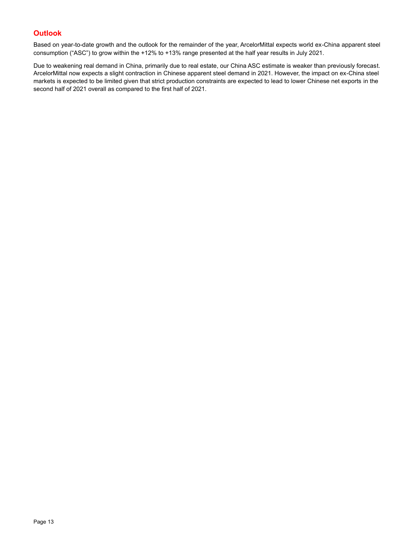## **Outlook**

Based on year-to-date growth and the outlook for the remainder of the year, ArcelorMittal expects world ex-China apparent steel consumption ("ASC") to grow within the +12% to +13% range presented at the half year results in July 2021.

Due to weakening real demand in China, primarily due to real estate, our China ASC estimate is weaker than previously forecast. ArcelorMittal now expects a slight contraction in Chinese apparent steel demand in 2021. However, the impact on ex-China steel markets is expected to be limited given that strict production constraints are expected to lead to lower Chinese net exports in the second half of 2021 overall as compared to the first half of 2021.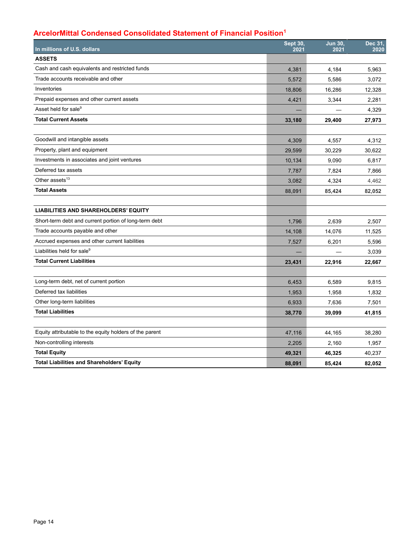## **ArcelorMittal Condensed Consolidated Statement of Financial Position<sup>1</sup>**

| In millions of U.S. dollars                             | <b>Sept 30,</b><br>2021 | <b>Jun 30,</b><br>2021 | Dec 31,<br>2020 |
|---------------------------------------------------------|-------------------------|------------------------|-----------------|
| <b>ASSETS</b>                                           |                         |                        |                 |
| Cash and cash equivalents and restricted funds          | 4,381                   | 4,184                  | 5,963           |
| Trade accounts receivable and other                     | 5,572                   | 5,586                  | 3,072           |
| Inventories                                             | 18,806                  | 16,286                 | 12,328          |
| Prepaid expenses and other current assets               | 4,421                   | 3,344                  | 2,281           |
| Asset held for sale <sup>9</sup>                        |                         |                        | 4,329           |
| <b>Total Current Assets</b>                             | 33,180                  | 29,400                 | 27,973          |
|                                                         |                         |                        |                 |
| Goodwill and intangible assets                          | 4,309                   | 4,557                  | 4,312           |
| Property, plant and equipment                           | 29,599                  | 30,229                 | 30,622          |
| Investments in associates and joint ventures            | 10,134                  | 9,090                  | 6,817           |
| Deferred tax assets                                     | 7,787                   | 7,824                  | 7,866           |
| Other assets <sup>13</sup>                              | 3,082                   | 4,324                  | 4,462           |
| <b>Total Assets</b>                                     | 88,091                  | 85,424                 | 82,052          |
|                                                         |                         |                        |                 |
| <b>LIABILITIES AND SHAREHOLDERS' EQUITY</b>             |                         |                        |                 |
| Short-term debt and current portion of long-term debt   | 1,796                   | 2,639                  | 2,507           |
| Trade accounts payable and other                        | 14,108                  | 14,076                 | 11,525          |
| Accrued expenses and other current liabilities          | 7,527                   | 6,201                  | 5,596           |
| Liabilities held for sale <sup>9</sup>                  |                         |                        | 3,039           |
| <b>Total Current Liabilities</b>                        | 23,431                  | 22,916                 | 22,667          |
|                                                         |                         |                        |                 |
| Long-term debt, net of current portion                  | 6,453                   | 6,589                  | 9,815           |
| Deferred tax liabilities                                | 1,953                   | 1,958                  | 1,832           |
| Other long-term liabilities                             | 6,933                   | 7,636                  | 7,501           |
| <b>Total Liabilities</b>                                | 38,770                  | 39,099                 | 41,815          |
|                                                         |                         |                        |                 |
| Equity attributable to the equity holders of the parent | 47,116                  | 44,165                 | 38,280          |
| Non-controlling interests                               | 2,205                   | 2,160                  | 1,957           |
| <b>Total Equity</b>                                     | 49,321                  | 46,325                 | 40,237          |
| <b>Total Liabilities and Shareholders' Equity</b>       | 88,091                  | 85,424                 | 82,052          |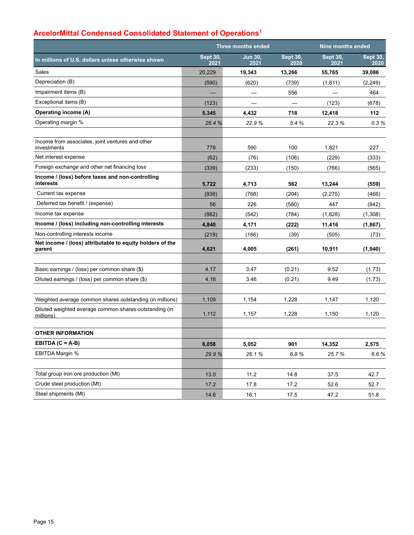# **ArcelorMittal Condensed Consolidated Statement of Operations<sup>1</sup>**

|                                                                     |                         | <b>Three months ended</b> | <b>Nine months ended</b> |                         |                         |
|---------------------------------------------------------------------|-------------------------|---------------------------|--------------------------|-------------------------|-------------------------|
| In millions of U.S. dollars unless otherwise shown                  | <b>Sept 30,</b><br>2021 | <b>Jun 30.</b><br>2021    | <b>Sept 30,</b><br>2020  | <b>Sept 30,</b><br>2021 | <b>Sept 30,</b><br>2020 |
| Sales                                                               | 20,229                  | 19,343                    | 13,266                   | 55,765                  | 39,086                  |
| Depreciation (B)                                                    | (590)                   | (620)                     | (739)                    | (1, 811)                | (2, 249)                |
| Impairment items (B)                                                |                         |                           | 556                      |                         | 464                     |
| Exceptional items (B)                                               | (123)                   |                           |                          | (123)                   | (678)                   |
| Operating income (A)                                                | 5,345                   | 4,432                     | 718                      | 12,418                  | 112                     |
| Operating margin %                                                  | 26.4%                   | 22.9%                     | 5.4%                     | 22.3%                   | 0.3%                    |
| Income from associates, joint ventures and other<br>investments     | 778                     | 590                       | 100                      | 1,821                   | 227                     |
| Net interest expense                                                | (62)                    | (76)                      | (106)                    | (229)                   | (333)                   |
| Foreign exchange and other net financing loss                       | (339)                   | (233)                     | (150)                    | (766)                   | (565)                   |
| Income / (loss) before taxes and non-controlling<br>interests       | 5,722                   | 4,713                     | 562                      | 13,244                  | (559)                   |
| Current tax expense                                                 | (938)                   | (768)                     | (204)                    | (2, 275)                | (466)                   |
| Deferred tax benefit / (expense)                                    | 56                      | 226                       | (580)                    | 447                     | (842)                   |
| Income tax expense                                                  | (882)                   | (542)                     | (784)                    | (1,828)                 | (1,308)                 |
| Income / (loss) including non-controlling interests                 | 4,840                   | 4,171                     | (222)                    | 11,416                  | (1, 867)                |
| Non-controlling interests income                                    | (219)                   | (166)                     | (39)                     | (505)                   | (73)                    |
| Net income / (loss) attributable to equity holders of the<br>parent | 4,621                   | 4,005                     | (261)                    | 10,911                  | (1,940)                 |
|                                                                     |                         |                           |                          |                         |                         |
| Basic earnings / (loss) per common share (\$)                       | 4.17                    | 3.47                      | (0.21)                   | 9.52                    | (1.73)                  |
| Diluted earnings / (loss) per common share (\$)                     | 4.16                    | 3.46                      | (0.21)                   | 9.49                    | (1.73)                  |
| Weighted average common shares outstanding (in millions)            | 1,109                   | 1,154                     | 1,228                    | 1,147                   | 1,120                   |
| Diluted weighted average common shares outstanding (in<br>millions) | 1,112                   | 1,157                     | 1,228                    | 1,150                   | 1,120                   |
| <b>OTHER INFORMATION</b>                                            |                         |                           |                          |                         |                         |
| EBITDA $(C = A-B)$                                                  | 6,058                   | 5,052                     | 901                      | 14,352                  | 2,575                   |
| EBITDA Margin %                                                     | 29.9%                   | 26.1%                     | 6.8%                     | 25.7%                   | 6.6%                    |
| Total group iron ore production (Mt)                                | 13.0                    | 11.2                      | 14.8                     | 37.5                    | 42.7                    |
| Crude steel production (Mt)                                         | 17.2                    | 17.8                      | 17.2                     | 52.6                    | 52.7                    |
| Steel shipments (Mt)                                                | 14.6                    | 16.1                      | 17.5                     | 47.2                    | 51.8                    |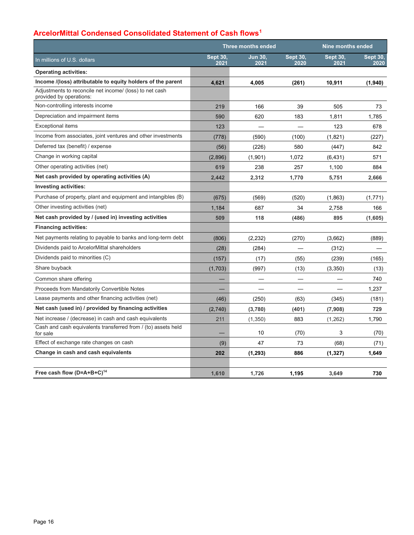# **ArcelorMittal Condensed Consolidated Statement of Cash flows<sup>1</sup>**

|                                                                                    |                         | <b>Three months ended</b> |                         |                         | <b>Nine months ended</b> |  |  |
|------------------------------------------------------------------------------------|-------------------------|---------------------------|-------------------------|-------------------------|--------------------------|--|--|
| In millions of U.S. dollars                                                        | <b>Sept 30,</b><br>2021 | <b>Jun 30.</b><br>2021    | <b>Sept 30,</b><br>2020 | <b>Sept 30,</b><br>2021 | Sept $30,$<br>2020       |  |  |
| <b>Operating activities:</b>                                                       |                         |                           |                         |                         |                          |  |  |
| Income /(loss) attributable to equity holders of the parent                        | 4,621                   | 4,005                     | (261)                   | 10,911                  | (1,940)                  |  |  |
| Adjustments to reconcile net income/ (loss) to net cash<br>provided by operations: |                         |                           |                         |                         |                          |  |  |
| Non-controlling interests income                                                   | 219                     | 166                       | 39                      | 505                     | 73                       |  |  |
| Depreciation and impairment items                                                  | 590                     | 620                       | 183                     | 1.811                   | 1.785                    |  |  |
| Exceptional items                                                                  | 123                     |                           |                         | 123                     | 678                      |  |  |
| Income from associates, joint ventures and other investments                       | (778)                   | (590)                     | (100)                   | (1,821)                 | (227)                    |  |  |
| Deferred tax (benefit) / expense                                                   | (56)                    | (226)                     | 580                     | (447)                   | 842                      |  |  |
| Change in working capital                                                          | (2,896)                 | (1,901)                   | 1,072                   | (6, 431)                | 571                      |  |  |
| Other operating activities (net)                                                   | 619                     | 238                       | 257                     | 1,100                   | 884                      |  |  |
| Net cash provided by operating activities (A)                                      | 2,442                   | 2,312                     | 1,770                   | 5,751                   | 2,666                    |  |  |
| <b>Investing activities:</b>                                                       |                         |                           |                         |                         |                          |  |  |
| Purchase of property, plant and equipment and intangibles (B)                      | (675)                   | (569)                     | (520)                   | (1,863)                 | (1,771)                  |  |  |
| Other investing activities (net)                                                   | 1,184                   | 687                       | 34                      | 2,758                   | 166                      |  |  |
| Net cash provided by / (used in) investing activities                              | 509                     | 118                       | (486)                   | 895                     | (1,605)                  |  |  |
| <b>Financing activities:</b>                                                       |                         |                           |                         |                         |                          |  |  |
| Net payments relating to payable to banks and long-term debt                       | (806)                   | (2, 232)                  | (270)                   | (3,662)                 | (889)                    |  |  |
| Dividends paid to ArcelorMittal shareholders                                       | (28)                    | (284)                     |                         | (312)                   |                          |  |  |
| Dividends paid to minorities (C)                                                   | (157)                   | (17)                      | (55)                    | (239)                   | (165)                    |  |  |
| Share buyback                                                                      | (1,703)                 | (997)                     | (13)                    | (3, 350)                | (13)                     |  |  |
| Common share offering                                                              |                         |                           |                         |                         | 740                      |  |  |
| Proceeds from Mandatorily Convertible Notes                                        |                         |                           |                         |                         | 1,237                    |  |  |
| Lease payments and other financing activities (net)                                | (46)                    | (250)                     | (63)                    | (345)                   | (181)                    |  |  |
| Net cash (used in) / provided by financing activities                              | (2,740)                 | (3,780)                   | (401)                   | (7,908)                 | 729                      |  |  |
| Net increase / (decrease) in cash and cash equivalents                             | 211                     | (1,350)                   | 883                     | (1,262)                 | 1,790                    |  |  |
| Cash and cash equivalents transferred from / (to) assets held<br>for sale          |                         | 10                        | (70)                    | 3                       | (70)                     |  |  |
| Effect of exchange rate changes on cash                                            | (9)                     | 47                        | 73                      | (68)                    | (71)                     |  |  |
| Change in cash and cash equivalents                                                | 202                     | (1, 293)                  | 886                     | (1, 327)                | 1,649                    |  |  |
|                                                                                    |                         |                           |                         |                         |                          |  |  |
| Free cash flow $(D=A+B+C)^{14}$                                                    | 1,610                   | 1,726                     | 1,195                   | 3,649                   | 730                      |  |  |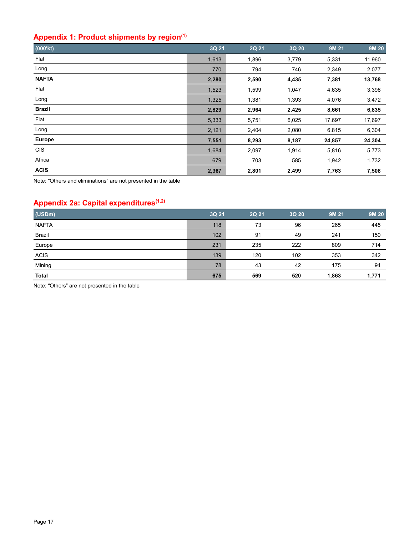# **Appendix 1: Product shipments by region(1)**

| (000'kt)      | 3Q 21 | 2Q 21 | 3Q 20 | <b>9M21</b> | <b>9M 20</b> |
|---------------|-------|-------|-------|-------------|--------------|
| Flat          | 1,613 | 1,896 | 3,779 | 5,331       | 11,960       |
| Long          | 770   | 794   | 746   | 2,349       | 2,077        |
| <b>NAFTA</b>  | 2,280 | 2,590 | 4,435 | 7,381       | 13,768       |
| Flat          | 1,523 | 1,599 | 1,047 | 4,635       | 3,398        |
| Long          | 1,325 | 1,381 | 1,393 | 4,076       | 3,472        |
| <b>Brazil</b> | 2,829 | 2,964 | 2,425 | 8,661       | 6,835        |
| Flat          | 5,333 | 5,751 | 6,025 | 17,697      | 17,697       |
| Long          | 2,121 | 2,404 | 2,080 | 6,815       | 6,304        |
| <b>Europe</b> | 7,551 | 8,293 | 8,187 | 24,857      | 24,304       |
| <b>CIS</b>    | 1,684 | 2,097 | 1,914 | 5,816       | 5,773        |
| Africa        | 679   | 703   | 585   | 1,942       | 1,732        |
| <b>ACIS</b>   | 2,367 | 2,801 | 2,499 | 7,763       | 7,508        |

Note: "Others and eliminations" are not presented in the table

# **Appendix 2a: Capital expenditures(1,2)**

| (USDm)        | 3Q 21 | 2Q 21 | 3Q 20 | 9M 21 | <b>9M 20</b> |
|---------------|-------|-------|-------|-------|--------------|
| <b>NAFTA</b>  | 118   | 73    | 96    | 265   | 445          |
| <b>Brazil</b> | 102   | 91    | 49    | 241   | 150          |
| Europe        | 231   | 235   | 222   | 809   | 714          |
| <b>ACIS</b>   | 139   | 120   | 102   | 353   | 342          |
| Mining        | 78    | 43    | 42    | 175   | 94           |
| <b>Total</b>  | 675   | 569   | 520   | 1,863 | 1,771        |

Note: "Others" are not presented in the table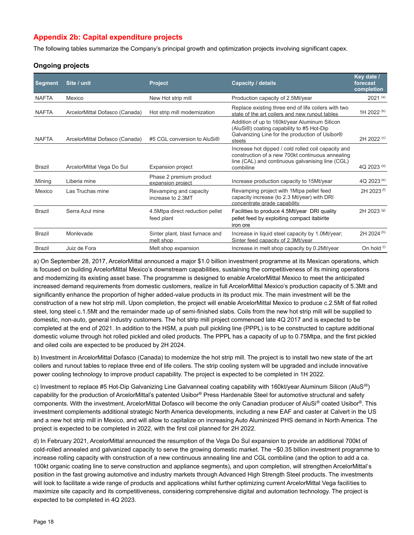## **Appendix 2b: Capital expenditure projects**

The following tables summarize the Company's principal growth and optimization projects involving significant capex.

#### **Ongoing projects**

| <b>Segment</b> | Site / unit                    | <b>Project</b>                                | Capacity / details                                                                                                                                                       | Key date /<br>forecast<br>completion |
|----------------|--------------------------------|-----------------------------------------------|--------------------------------------------------------------------------------------------------------------------------------------------------------------------------|--------------------------------------|
| <b>NAFTA</b>   | Mexico                         | New Hot strip mill                            | Production capacity of 2.5Mt/year                                                                                                                                        | $2021^{(a)}$                         |
| <b>NAFTA</b>   | ArcelorMittal Dofasco (Canada) | Hot strip mill modernization                  | Replace existing three end of life coilers with two<br>state of the art coilers and new runout tables                                                                    | 1H 2022 <sup>(b)</sup>               |
| <b>NAFTA</b>   | ArcelorMittal Dofasco (Canada) | #5 CGL conversion to AluSi®                   | Addition of up to 160kt/year Aluminum Silicon<br>(AluSi®) coating capability to #5 Hot-Dip<br>Galvanizing Line for the production of Usibor®<br>steels                   | 2H 2022 (c)                          |
| Brazil         | ArcelorMittal Vega Do Sul      | <b>Expansion project</b>                      | Increase hot dipped / cold rolled coil capacity and<br>construction of a new 700kt continuous annealing<br>line (CAL) and continuous galvanising line (CGL)<br>combiline | 4Q 2023 (d)                          |
| Mining         | Liberia mine                   | Phase 2 premium product<br>expansion project  | Increase production capacity to 15Mt/year                                                                                                                                | 4Q 2023 <sup>(e)</sup>               |
| Mexico         | Las Truchas mine               | Revamping and capacity<br>increase to 2.3MT   | Revamping project with 1Mtpa pellet feed<br>capacity increase (to 2.3 Mt/year) with DRI<br>concentrate grade capability                                                  | 2H 2023 <sup>(f)</sup>               |
| <b>Brazil</b>  | Serra Azul mine                | 4.5Mtpa direct reduction pellet<br>feed plant | Facilities to produce 4.5Mt/year DRI quality<br>pellet feed by exploiting compact itabirite<br>iron ore                                                                  | 2H 2023 (g)                          |
| <b>Brazil</b>  | Monlevade                      | Sinter plant, blast furnace and<br>melt shop  | Increase in liquid steel capacity by 1.0Mt/year;<br>Sinter feed capacity of 2.3Mt/year                                                                                   | 2H 2024 (h)                          |
| <b>Brazil</b>  | Juiz de Fora                   | Melt shop expansion                           | Increase in melt shop capacity by 0.2Mt/year                                                                                                                             | On hold (i)                          |

a) On September 28, 2017, ArcelorMittal announced a major \$1.0 billion investment programme at its Mexican operations, which is focused on building ArcelorMittal Mexico's downstream capabilities, sustaining the competitiveness of its mining operations and modernizing its existing asset base. The programme is designed to enable ArcelorMittal Mexico to meet the anticipated increased demand requirements from domestic customers, realize in full ArcelorMittal Mexico's production capacity of 5.3Mt and significantly enhance the proportion of higher added-value products in its product mix. The main investment will be the construction of a new hot strip mill. Upon completion, the project will enable ArcelorMittal Mexico to produce c.2.5Mt of flat rolled steel, long steel c.1.5Mt and the remainder made up of semi-finished slabs. Coils from the new hot strip mill will be supplied to domestic, non-auto, general industry customers. The hot strip mill project commenced late 4Q 2017 and is expected to be completed at the end of 2021. In addition to the HSM, a push pull pickling line (PPPL) is to be constructed to capture additional domestic volume through hot rolled pickled and oiled products. The PPPL has a capacity of up to 0.75Mtpa, and the first pickled and oiled coils are expected to be produced by 2H 2024.

b) Investment in ArcelorMittal Dofasco (Canada) to modernize the hot strip mill. The project is to install two new state of the art coilers and runout tables to replace three end of life coilers. The strip cooling system will be upgraded and include innovative power cooling technology to improve product capability. The project is expected to be completed in 1H 2022.

c) Investment to replace #5 Hot-Dip Galvanizing Line Galvanneal coating capability with 160kt/year Aluminum Silicon (AluSi®) capability for the production of ArcelorMittal's patented Usibor® Press Hardenable Steel for automotive structural and safety components. With the investment, ArcelorMittal Dofasco will become the only Canadian producer of AluSi® coated Usibor®. This investment complements additional strategic North America developments, including a new EAF and caster at Calvert in the US and a new hot strip mill in Mexico, and will allow to capitalize on increasing Auto Aluminized PHS demand in North America. The project is expected to be completed in 2022, with the first coil planned for 2H 2022.

d) In February 2021, ArcelorMittal announced the resumption of the Vega Do Sul expansion to provide an additional 700kt of cold-rolled annealed and galvanized capacity to serve the growing domestic market. The ~\$0.35 billion investment programme to increase rolling capacity with construction of a new continuous annealing line and CGL combiline (and the option to add a ca. 100kt organic coating line to serve construction and appliance segments), and upon completion, will strengthen ArcelorMittal's position in the fast growing automotive and industry markets through Advanced High Strength Steel products. The investments will look to facilitate a wide range of products and applications whilst further optimizing current ArcelorMittal Vega facilities to maximize site capacity and its competitiveness, considering comprehensive digital and automation technology. The project is expected to be completed in 4Q 2023.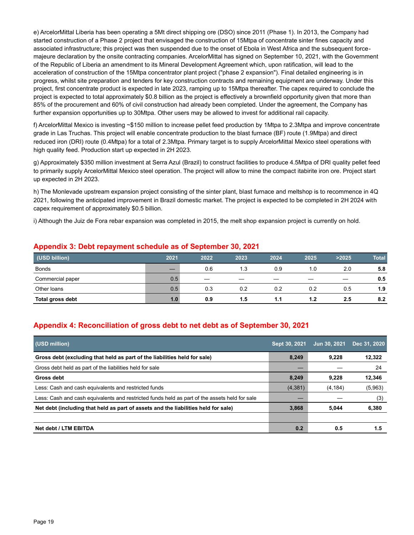e) ArcelorMittal Liberia has been operating a 5Mt direct shipping ore (DSO) since 2011 (Phase 1). In 2013, the Company had started construction of a Phase 2 project that envisaged the construction of 15Mtpa of concentrate sinter fines capacity and associated infrastructure; this project was then suspended due to the onset of Ebola in West Africa and the subsequent forcemajeure declaration by the onsite contracting companies. ArcelorMittal has signed on September 10, 2021, with the Government of the Republic of Liberia an amendment to its Mineral Development Agreement which, upon ratification, will lead to the acceleration of construction of the 15Mtpa concentrator plant project ("phase 2 expansion"). Final detailed engineering is in progress, whilst site preparation and tenders for key construction contracts and remaining equipment are underway. Under this project, first concentrate product is expected in late 2023, ramping up to 15Mtpa thereafter. The capex required to conclude the project is expected to total approximately \$0.8 billion as the project is effectively a brownfield opportunity given that more than 85% of the procurement and 60% of civil construction had already been completed. Under the agreement, the Company has further expansion opportunities up to 30Mtpa. Other users may be allowed to invest for additional rail capacity.

f) ArcelorMittal Mexico is investing ~\$150 million to increase pellet feed production by 1Mtpa to 2.3Mtpa and improve concentrate grade in Las Truchas. This project will enable concentrate production to the blast furnace (BF) route (1.9Mtpa) and direct reduced iron (DRI) route (0.4Mtpa) for a total of 2.3Mtpa. Primary target is to supply ArcelorMittal Mexico steel operations with high quality feed. Production start up expected in 2H 2023.

g) Approximately \$350 million investment at Serra Azul (Brazil) to construct facilities to produce 4.5Mtpa of DRI quality pellet feed to primarily supply ArcelorMittal Mexico steel operation. The project will allow to mine the compact itabirite iron ore. Project start up expected in 2H 2023.

h) The Monlevade upstream expansion project consisting of the sinter plant, blast furnace and meltshop is to recommence in 4Q 2021, following the anticipated improvement in Brazil domestic market. The project is expected to be completed in 2H 2024 with capex requirement of approximately \$0.5 billion.

i) Although the Juiz de Fora rebar expansion was completed in 2015, the melt shop expansion project is currently on hold.

| $\sim$ -processes at $\sim$ and the particle and the anti-processes are at a spectrum of a $\sim$ , $\sim$ |      |      |      |      |      |       |              |
|------------------------------------------------------------------------------------------------------------|------|------|------|------|------|-------|--------------|
| (USD billion)                                                                                              | 2021 | 2022 | 2023 | 2024 | 2025 | >2025 | <b>Total</b> |
| Bonds                                                                                                      |      | 0.6  | 1.3  | 0.9  | 1.0  | 2.0   | 5.8          |
| Commercial paper                                                                                           | 0.5  |      | _    |      |      |       | 0.5          |
| Other loans                                                                                                | 0.5  | 0.3  | 0.2  | 0.2  | 0.2  | 0.5   | 1.9          |
| Total gross debt                                                                                           | 1.0  | 0.9  | 1.5  | 1.1  | 1.2  | 2.5   | 8.2          |

### **Appendix 3: Debt repayment schedule as of September 30, 2021**

## **Appendix 4: Reconciliation of gross debt to net debt as of September 30, 2021**

| (USD million)                                                                                 | Sept 30, 2021 | Jun 30, 2021 | Dec 31, 2020 |
|-----------------------------------------------------------------------------------------------|---------------|--------------|--------------|
| Gross debt (excluding that held as part of the liabilities held for sale)                     | 8.249         | 9.228        | 12.322       |
| Gross debt held as part of the liabilities held for sale                                      |               |              | 24           |
| Gross debt                                                                                    | 8.249         | 9.228        | 12,346       |
| Less: Cash and cash equivalents and restricted funds                                          | (4, 381)      | (4, 184)     | (5,963)      |
| Less: Cash and cash equivalents and restricted funds held as part of the assets held for sale |               |              | (3)          |
| Net debt (including that held as part of assets and the liabilities held for sale)            | 3.868         | 5.044        | 6.380        |
|                                                                                               |               |              |              |
| Net debt / LTM EBITDA                                                                         | 0.2           | 0.5          | 1.5          |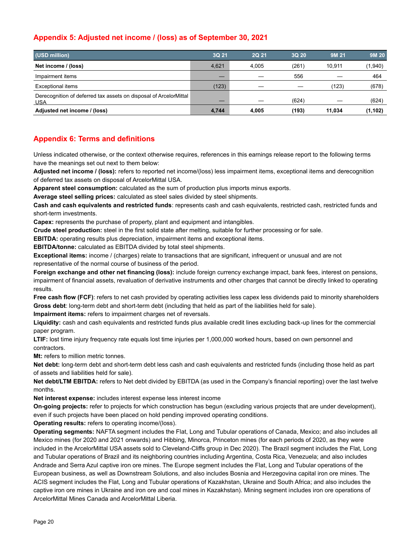## **Appendix 5: Adjusted net income / (loss) as of September 30, 2021**

| (USD million)                                                                   | 3Q 21 | <b>2Q 21</b> | <b>3Q 20</b> | 9M 21  | <b>9M 20</b> |
|---------------------------------------------------------------------------------|-------|--------------|--------------|--------|--------------|
| Net income / (loss)                                                             | 4,621 | 4.005        | (261)        | 10.911 | (1,940)      |
| Impairment items                                                                |       |              | 556          |        | 464          |
| Exceptional items                                                               | (123) |              |              | (123)  | (678)        |
| Derecognition of deferred tax assets on disposal of ArcelorMittal<br><b>USA</b> |       |              | (624)        |        | (624)        |
| Adjusted net income / (loss)                                                    | 4.744 | 4.005        | (193)        | 11.034 | (1, 102)     |

## **Appendix 6: Terms and definitions**

Unless indicated otherwise, or the context otherwise requires, references in this earnings release report to the following terms have the meanings set out next to them below:

**Adjusted net income / (loss):** refers to reported net income/(loss) less impairment items, exceptional items and derecognition of deferred tax assets on disposal of ArcelorMittal USA.

**Apparent steel consumption:** calculated as the sum of production plus imports minus exports.

**Average steel selling prices:** calculated as steel sales divided by steel shipments.

**Cash and cash equivalents and restricted funds**: represents cash and cash equivalents, restricted cash, restricted funds and short-term investments.

**Capex:** represents the purchase of property, plant and equipment and intangibles.

**Crude steel production:** steel in the first solid state after melting, suitable for further processing or for sale.

**EBITDA:** operating results plus depreciation, impairment items and exceptional items.

**EBITDA/tonne:** calculated as EBITDA divided by total steel shipments.

**Exceptional items:** income / (charges) relate to transactions that are significant, infrequent or unusual and are not representative of the normal course of business of the period.

**Foreign exchange and other net financing (loss):** include foreign currency exchange impact, bank fees, interest on pensions, impairment of financial assets, revaluation of derivative instruments and other charges that cannot be directly linked to operating results.

**Free cash flow (FCF)**: refers to net cash provided by operating activities less capex less dividends paid to minority shareholders **Gross debt**: long-term debt and short-term debt (including that held as part of the liabilities held for sale).

**Impairment items:** refers to impairment charges net of reversals.

**Liquidity:** cash and cash equivalents and restricted funds plus available credit lines excluding back-up lines for the commercial paper program.

**LTIF:** lost time injury frequency rate equals lost time injuries per 1,000,000 worked hours, based on own personnel and contractors.

**Mt:** refers to million metric tonnes.

**Net debt:** long-term debt and short-term debt less cash and cash equivalents and restricted funds (including those held as part of assets and liabilities held for sale).

**Net debt/LTM EBITDA:** refers to Net debt divided by EBITDA (as used in the Company's financial reporting) over the last twelve months.

**Net interest expense:** includes interest expense less interest income

**On-going projects:** refer to projects for which construction has begun (excluding various projects that are under development), even if such projects have been placed on hold pending improved operating conditions.

**Operating results:** refers to operating income/(loss).

**Operating segments:** NAFTA segment includes the Flat, Long and Tubular operations of Canada, Mexico; and also includes all Mexico mines (for 2020 and 2021 onwards) and Hibbing, Minorca, Princeton mines (for each periods of 2020, as they were included in the ArcelorMittal USA assets sold to Cleveland-Cliffs group in Dec 2020). The Brazil segment includes the Flat, Long and Tubular operations of Brazil and its neighboring countries including Argentina, Costa Rica, Venezuela; and also includes Andrade and Serra Azul captive iron ore mines. The Europe segment includes the Flat, Long and Tubular operations of the European business, as well as Downstream Solutions, and also includes Bosnia and Herzegovina capital iron ore mines. The ACIS segment includes the Flat, Long and Tubular operations of Kazakhstan, Ukraine and South Africa; and also includes the captive iron ore mines in Ukraine and iron ore and coal mines in Kazakhstan). Mining segment includes iron ore operations of ArcelorMittal Mines Canada and ArcelorMittal Liberia.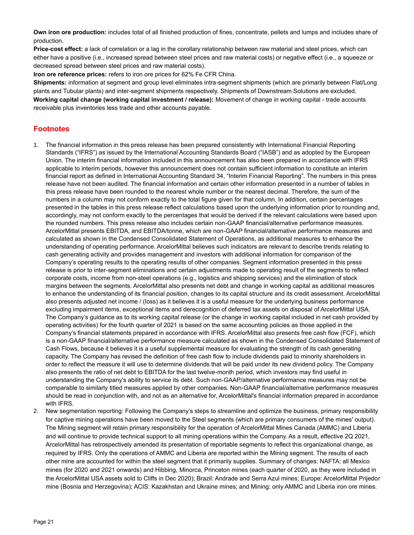**Own iron ore production:** includes total of all finished production of fines, concentrate, pellets and lumps and includes share of production.

**Price-cost effect:** a lack of correlation or a lag in the corollary relationship between raw material and steel prices, which can either have a positive (i.e., increased spread between steel prices and raw material costs) or negative effect (i.e., a squeeze or decreased spread between steel prices and raw material costs).

**Iron ore reference prices:** refers to iron ore prices for 62% Fe CFR China.

**Shipments:** information at segment and group level eliminates intra-segment shipments (which are primarily between Flat/Long plants and Tubular plants) and inter-segment shipments respectively. Shipments of Downstream Solutions are excluded. **Working capital change (working capital investment / release):** Movement of change in working capital - trade accounts receivable plus inventories less trade and other accounts payable.

## **Footnotes**

- 1. The financial information in this press release has been prepared consistently with International Financial Reporting Standards ("IFRS") as issued by the International Accounting Standards Board ("IASB") and as adopted by the European Union. The interim financial information included in this announcement has also been prepared in accordance with IFRS applicable to interim periods, however this announcement does not contain sufficient information to constitute an interim financial report as defined in International Accounting Standard 34, "Interim Financial Reporting". The numbers in this press release have not been audited. The financial information and certain other information presented in a number of tables in this press release have been rounded to the nearest whole number or the nearest decimal. Therefore, the sum of the numbers in a column may not conform exactly to the total figure given for that column. In addition, certain percentages presented in the tables in this press release reflect calculations based upon the underlying information prior to rounding and, accordingly, may not conform exactly to the percentages that would be derived if the relevant calculations were based upon the rounded numbers. This press release also includes certain non-GAAP financial/alternative performance measures. ArcelorMittal presents EBITDA, and EBITDA/tonne, which are non-GAAP financial/alternative performance measures and calculated as shown in the Condensed Consolidated Statement of Operations, as additional measures to enhance the understanding of operating performance. ArcelorMittal believes such indicators are relevant to describe trends relating to cash generating activity and provides management and investors with additional information for comparison of the Company's operating results to the operating results of other companies. Segment information presented in this press release is prior to inter-segment eliminations and certain adjustments made to operating result of the segments to reflect corporate costs, income from non-steel operations (e.g., logistics and shipping services) and the elimination of stock margins between the segments. ArcelorMittal also presents net debt and change in working capital as additional measures to enhance the understanding of its financial position, changes to its capital structure and its credit assessment. ArcelorMittal also presents adjusted net income / (loss) as it believes it is a useful measure for the underlying business performance excluding impairment items, exceptional items and derecognition of deferred tax assets on disposal of ArcelorMittal USA. The Company's guidance as to its working capital release (or the change in working capital included in net cash provided by operating activities) for the fourth quarter of 2021 is based on the same accounting policies as those applied in the Company's financial statements prepared in accordance with IFRS. ArcelorMittal also presents free cash flow (FCF), which is a non-GAAP financial/alternative performance measure calculated as shown in the Condensed Consolidated Statement of Cash Flows, because it believes it is a useful supplemental measure for evaluating the strength of its cash generating capacity. The Company has revised the definition of free cash flow to include dividends paid to minority shareholders in order to reflect the measure it will use to determine dividends that will be paid under its new dividend policy. The Company also presents the ratio of net debt to EBITDA for the last twelve-month period, which investors may find useful in understanding the Company's ability to service its debt. Such non-GAAP/alternative performance measures may not be comparable to similarly titled measures applied by other companies. Non-GAAP financial/alternative performance measures should be read in conjunction with, and not as an alternative for, ArcelorMittal's financial information prepared in accordance with IFRS.
- 2. New segmentation reporting: Following the Company's steps to streamline and optimize the business, primary responsibility for captive mining operations have been moved to the Steel segments (which are primary consumers of the mines' output). The Mining segment will retain primary responsibility for the operation of ArcelorMittal Mines Canada (AMMC) and Liberia and will continue to provide technical support to all mining operations within the Company. As a result, effective 2Q 2021, ArcelorMittal has retrospectively amended its presentation of reportable segments to reflect this organizational change, as required by IFRS. Only the operations of AMMC and Liberia are reported within the Mining segment. The results of each other mine are accounted for within the steel segment that it primarily supplies. Summary of changes: NAFTA: all Mexico mines (for 2020 and 2021 onwards) and Hibbing, Minorca, Princeton mines (each quarter of 2020, as they were included in the ArcelorMittal USA assets sold to Cliffs in Dec 2020); Brazil: Andrade and Serra Azul mines; Europe: ArcelorMittal Prijedor mine (Bosnia and Herzegovina); ACIS: Kazakhstan and Ukraine mines; and Mining: only AMMC and Liberia iron ore mines.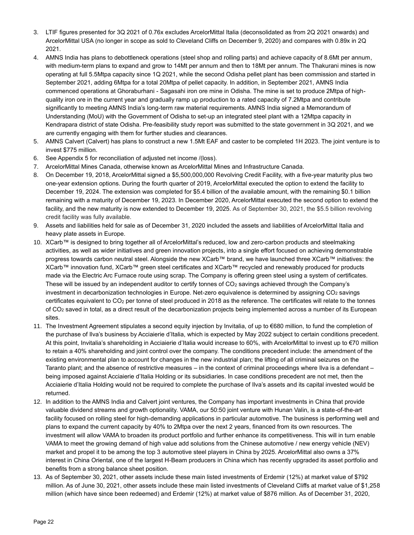- 3. LTIF figures presented for 3Q 2021 of 0.76x excludes ArcelorMittal Italia (deconsolidated as from 2Q 2021 onwards) and ArcelorMittal USA (no longer in scope as sold to Cleveland Cliffs on December 9, 2020) and compares with 0.89x in 2Q 2021.
- 4. AMNS India has plans to debottleneck operations (steel shop and rolling parts) and achieve capacity of 8.6Mt per annum, with medium-term plans to expand and grow to 14Mt per annum and then to 18Mt per annum. The Thakurani mines is now operating at full 5.5Mtpa capacity since 1Q 2021, while the second Odisha pellet plant has been commission and started in September 2021, adding 6Mtpa for a total 20Mtpa of pellet capacity. In addition, in September 2021, AMNS India commenced operations at Ghoraburhani - Sagasahi iron ore mine in Odisha. The mine is set to produce 2Mtpa of highquality iron ore in the current year and gradually ramp up production to a rated capacity of 7.2Mtpa and contribute significantly to meeting AMNS India's long-term raw material requirements. AMNS India signed a Memorandum of Understanding (MoU) with the Government of Odisha to set-up an integrated steel plant with a 12Mtpa capacity in Kendrapara district of state Odisha. Pre-feasibility study report was submitted to the state government in 3Q 2021, and we are currently engaging with them for further studies and clearances.
- 5. AMNS Calvert (Calvert) has plans to construct a new 1.5Mt EAF and caster to be completed 1H 2023. The joint venture is to invest \$775 million.
- 6. See Appendix 5 for reconciliation of adjusted net income /(loss).
- 7. ArcelorMittal Mines Canada, otherwise known as ArcelorMittal Mines and Infrastructure Canada.
- 8. On December 19, 2018, ArcelorMittal signed a \$5,500,000,000 Revolving Credit Facility, with a five-year maturity plus two one-year extension options. During the fourth quarter of 2019, ArcelorMittal executed the option to extend the facility to December 19, 2024. The extension was completed for \$5.4 billion of the available amount, with the remaining \$0.1 billion remaining with a maturity of December 19, 2023. In December 2020, ArcelorMittal executed the second option to extend the facility, and the new maturity is now extended to December 19, 2025. As of September 30, 2021, the \$5.5 billion revolving credit facility was fully available.
- 9. Assets and liabilities held for sale as of December 31, 2020 included the assets and liabilities of ArcelorMittal Italia and heavy plate assets in Europe.
- 10. XCarb™ is designed to bring together all of ArcelorMittal's reduced, low and zero-carbon products and steelmaking activities, as well as wider initiatives and green innovation projects, into a single effort focused on achieving demonstrable progress towards carbon neutral steel. Alongside the new XCarb™ brand, we have launched three XCarb™ initiatives: the XCarb™ innovation fund, XCarb™ green steel certificates and XCarb™ recycled and renewably produced for products made via the Electric Arc Furnace route using scrap. The Company is offering green steel using a system of certificates. These will be issued by an independent auditor to certify tonnes of  $CO<sub>2</sub>$  savings achieved through the Company's investment in decarbonization technologies in Europe. Net-zero equivalence is determined by assigning  $CO<sub>2</sub>$  savings certificates equivalent to CO<sub>2</sub> per tonne of steel produced in 2018 as the reference. The certificates will relate to the tonnes of  $CO<sub>2</sub>$  saved in total, as a direct result of the decarbonization projects being implemented across a number of its European sites.
- 11. The Investment Agreement stipulates a second equity injection by Invitalia, of up to €680 million, to fund the completion of the purchase of Ilva's business by Acciaierie d'Italia, which is expected by May 2022 subject to certain conditions precedent. At this point, Invitalia's shareholding in Acciaierie d'Italia would increase to 60%, with ArcelorMittal to invest up to €70 million to retain a 40% shareholding and joint control over the company. The conditions precedent include: the amendment of the existing environmental plan to account for changes in the new industrial plan; the lifting of all criminal seizures on the Taranto plant; and the absence of restrictive measures – in the context of criminal proceedings where Ilva is a defendant – being imposed against Acciaierie d'Italia Holding or its subsidiaries. In case conditions precedent are not met, then the Acciaierie d'Italia Holding would not be required to complete the purchase of Ilva's assets and its capital invested would be returned.
- 12. In addition to the AMNS India and Calvert joint ventures, the Company has important investments in China that provide valuable dividend streams and growth optionality. VAMA, our 50:50 joint venture with Hunan Valin, is a state-of-the-art facility focused on rolling steel for high-demanding applications in particular automotive. The business is performing well and plans to expand the current capacity by 40% to 2Mtpa over the next 2 years, financed from its own resources. The investment will allow VAMA to broaden its product portfolio and further enhance its competitiveness. This will in turn enable VAMA to meet the growing demand of high value add solutions from the Chinese automotive / new energy vehicle (NEV) market and propel it to be among the top 3 automotive steel players in China by 2025. ArcelorMittal also owns a 37% interest in China Oriental, one of the largest H-Beam producers in China which has recently upgraded its asset portfolio and benefits from a strong balance sheet position.
- 13. As of September 30, 2021, other assets include these main listed investments of Erdemir (12%) at market value of \$792 million. As of June 30, 2021, other assets include these main listed investments of Cleveland Cliffs at market value of \$1,258 million (which have since been redeemed) and Erdemir (12%) at market value of \$876 million. As of December 31, 2020,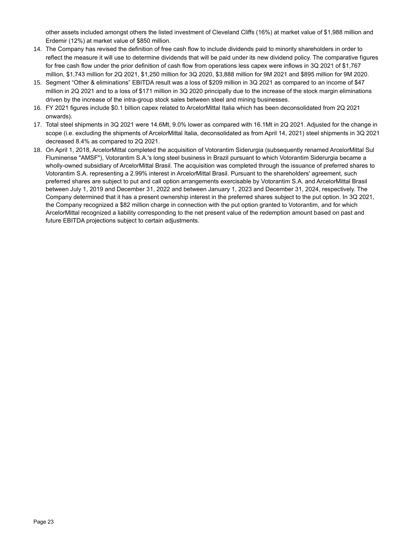other assets included amongst others the listed investment of Cleveland Cliffs (16%) at market value of \$1,988 million and Erdemir (12%) at market value of \$850 million.

- 14. The Company has revised the definition of free cash flow to include dividends paid to minority shareholders in order to reflect the measure it will use to determine dividends that will be paid under its new dividend policy. The comparative figures for free cash flow under the prior definition of cash flow from operations less capex were inflows in 3Q 2021 of \$1,767 million, \$1,743 million for 2Q 2021, \$1,250 million for 3Q 2020, \$3,888 million for 9M 2021 and \$895 million for 9M 2020.
- 15. Segment "Other & eliminations" EBITDA result was a loss of \$209 million in 3Q 2021 as compared to an income of \$47 million in 2Q 2021 and to a loss of \$171 million in 3Q 2020 principally due to the increase of the stock margin eliminations driven by the increase of the intra-group stock sales between steel and mining businesses.
- 16. FY 2021 figures include \$0.1 billion capex related to ArcelorMittal Italia which has been deconsolidated from 2Q 2021 onwards).
- 17. Total steel shipments in 3Q 2021 were 14.6Mt, 9.0% lower as compared with 16.1Mt in 2Q 2021. Adjusted for the change in scope (i.e. excluding the shipments of ArcelorMittal Italia, deconsolidated as from April 14, 2021) steel shipments in 3Q 2021 decreased 8.4% as compared to 2Q 2021.
- 18. On April 1, 2018, ArcelorMittal completed the acquisition of Votorantim Siderurgia (subsequently renamed ArcelorMittal Sul Fluminense "AMSF"), Votorantim S.A.'s long steel business in Brazil pursuant to which Votorantim Siderurgia became a wholly-owned subsidiary of ArcelorMittal Brasil. The acquisition was completed through the issuance of preferred shares to Votorantim S.A. representing a 2.99% interest in ArcelorMittal Brasil. Pursuant to the shareholders' agreement, such preferred shares are subject to put and call option arrangements exercisable by Votorantim S.A. and ArcelorMittal Brasil between July 1, 2019 and December 31, 2022 and between January 1, 2023 and December 31, 2024, respectively. The Company determined that it has a present ownership interest in the preferred shares subject to the put option. In 3Q 2021, the Company recognized a \$82 million charge in connection with the put option granted to Votorantim, and for which ArcelorMittal recognized a liability corresponding to the net present value of the redemption amount based on past and future EBITDA projections subject to certain adjustments.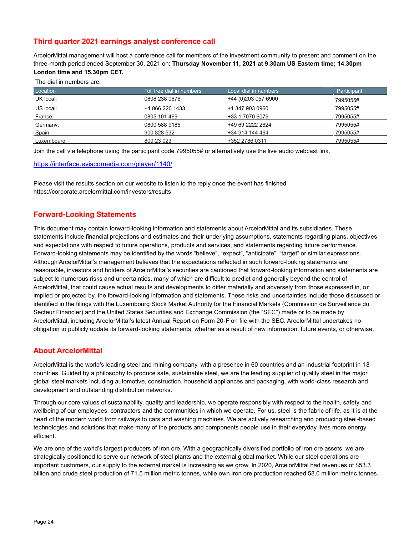## **Third quarter 2021 earnings analyst conference call**

ArcelorMittal management will host a conference call for members of the investment community to present and comment on the three-month period ended September 30, 2021 on: **Thursday November 11, 2021 at 9.30am US Eastern time; 14.30pm London time and 15.30pm CET.** 

The dial in numbers are:

| Location    | Toll free dial in numbers | Local dial in numbers | Participant |
|-------------|---------------------------|-----------------------|-------------|
| UK local:   | 0808 238 0676             | +44 (0)203 057 6900   | 7995055#    |
| US local:   | +1 866 220 1433           | +1 347 903 0960       | 7995055#    |
| France:     | 0805 101 469              | +33 1 7070 6079       | 7995055#    |
| Germany:    | 0800 588 9185             | +49 69 2222 2624      | 7995055#    |
| Spain:      | 900 828 532               | +34 914 144 464       | 7995055#    |
| Luxembourg: | 800 23 023                | +352 2786 0311        | 7995055#    |

Join the call via telephone using the participant code 7995055# or alternatively use the live audio webcast link.

#### [https://interface.eviscomedia.com/player/1140/](https://urldefense.com/v3/__https:/interface.eviscomedia.com/player/1140/__;!!AB_04_y_3-SRqw!pojgX_qyNGLZKvq8NjtUTvUteYxLuwTDyttIqH-stiWIv72TtdDilIhylv1JsHC9ScW3rw$)

Please visit the results section on our website to listen to the reply once the event has finished <https://corporate.arcelormittal.com/investors/results>

## **Forward-Looking Statements**

This document may contain forward-looking information and statements about ArcelorMittal and its subsidiaries. These statements include financial projections and estimates and their underlying assumptions, statements regarding plans, objectives and expectations with respect to future operations, products and services, and statements regarding future performance. Forward-looking statements may be identified by the words "believe", "expect", "anticipate", "target" or similar expressions. Although ArcelorMittal's management believes that the expectations reflected in such forward-looking statements are reasonable, investors and holders of ArcelorMittal's securities are cautioned that forward-looking information and statements are subject to numerous risks and uncertainties, many of which are difficult to predict and generally beyond the control of ArcelorMittal, that could cause actual results and developments to differ materially and adversely from those expressed in, or implied or projected by, the forward-looking information and statements. These risks and uncertainties include those discussed or identified in the filings with the Luxembourg Stock Market Authority for the Financial Markets (Commission de Surveillance du Secteur Financier) and the United States Securities and Exchange Commission (the "SEC") made or to be made by ArcelorMittal, including ArcelorMittal's latest Annual Report on Form 20-F on file with the SEC. ArcelorMittal undertakes no obligation to publicly update its forward-looking statements, whether as a result of new information, future events, or otherwise.

### **About ArcelorMittal**

ArcelorMittal is the world's leading steel and mining company, with a presence in 60 countries and an industrial footprint in 18 countries. Guided by a philosophy to produce safe, sustainable steel, we are the leading supplier of quality steel in the major global steel markets including automotive, construction, household appliances and packaging, with world-class research and development and outstanding distribution networks.

Through our core values of sustainability, quality and leadership, we operate responsibly with respect to the health, safety and wellbeing of our employees, contractors and the communities in which we operate. For us, steel is the fabric of life, as it is at the heart of the modern world from railways to cars and washing machines. We are actively researching and producing steel-based technologies and solutions that make many of the products and components people use in their everyday lives more energy efficient.

We are one of the world's largest producers of iron ore. With a geographically diversified portfolio of iron ore assets, we are strategically positioned to serve our network of steel plants and the external global market. While our steel operations are important customers, our supply to the external market is increasing as we grow. In 2020, ArcelorMittal had revenues of \$53.3 billion and crude steel production of 71.5 million metric tonnes, while own iron ore production reached 58.0 million metric tonnes.